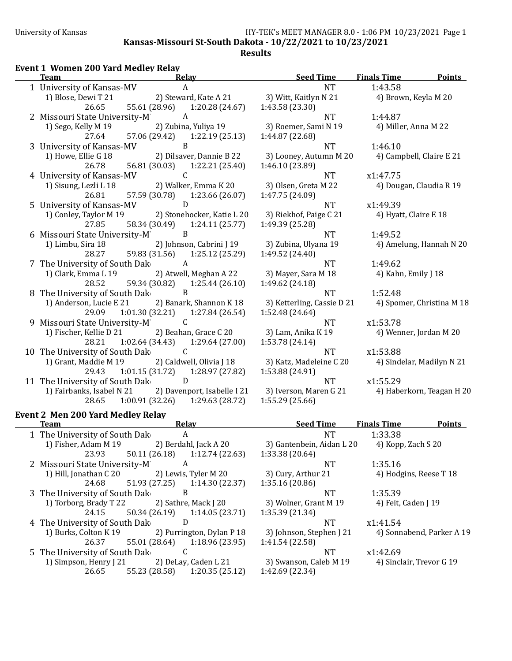**<u>Seed Time Finals Time Points</u>** 

**Kansas-Missouri St-South Dakota - 10/22/2021 to 10/23/2021**

### **Event 1 Women 200 Yard Medley Relay**

| ream                                           | Relay                                                           | <u>Seed Time</u>           | <u>Finais Lime</u> |
|------------------------------------------------|-----------------------------------------------------------------|----------------------------|--------------------|
| 1 University of Kansas-MV                      | A                                                               | <b>NT</b>                  | 1:43.58            |
|                                                | 1) Blose, Dewi T 21 2) Steward, Kate A 21 3) Witt, Kaitlyn N 21 |                            | 4) Broy            |
| 26.65                                          | 55.61 (28.96) 1:20.28 (24.67)                                   | 1:43.58 (23.30)            |                    |
| 2 Missouri State University-M                  | A                                                               | <b>NT</b>                  | 1:44.87            |
| 1) Sego, Kelly M 19                            | 2) Zubina, Yuliya 19                                            | 3) Roemer, Sami N 19       | 4) Mille           |
| 27.64                                          | 57.06 (29.42) 1:22.19 (25.13)                                   | 1:44.87 (22.68)            |                    |
| 3 University of Kansas-MV                      | B                                                               | NT.                        | 1:46.10            |
| 1) Howe, Ellie G 18                            | 2) Dilsaver, Dannie B 22                                        | 3) Looney, Autumn M 20     | 4) Cam             |
| 26.78                                          | 56.81 (30.03) 1:22.21 (25.40)                                   | 1:46.10 (23.89)            |                    |
| 4 University of Kansas-MV                      | C                                                               | NT                         | x1:47.75           |
| 1) Sisung, Lezli L 18                          | 2) Walker, Emma K 20                                            | 3) Olsen, Greta M 22       | 4) Dou             |
| 26.81                                          | 57.59 (30.78) 1:23.66 (26.07)                                   | 1:47.75 (24.09)            |                    |
| 5 University of Kansas-MV                      | D                                                               | <b>NT</b>                  | x1:49.39           |
|                                                | 1) Conley, Taylor M 19 2) Stonehocker, Katie L 20               | 3) Riekhof, Paige C 21     | 4) Hyat            |
| 27.85                                          | 58.34 (30.49) 1:24.11 (25.77)                                   | 1:49.39 (25.28)            |                    |
| 6 Missouri State University-M B                |                                                                 | <b>NT</b>                  | 1:49.52            |
| 1) Limbu, Sira 18                              | 2) Johnson, Cabrini J 19                                        | 3) Zubina, Ulyana 19       | 4) Ame             |
| 28.27                                          | 59.83 (31.56) 1:25.12 (25.29)                                   | 1:49.52 (24.40)            |                    |
| 7 The University of South Dak                  | A                                                               | <b>NT</b>                  | 1:49.62            |
| 1) Clark, Emma L 19                            | 2) Atwell, Meghan A 22                                          | 3) Mayer, Sara M 18        | 4) Kahi            |
| 28.52                                          | 59.34 (30.82) 1:25.44 (26.10)                                   | 1:49.62 (24.18)            |                    |
| 8 The University of South Dak                  | B                                                               | <b>NT</b>                  | 1:52.48            |
| 1) Anderson, Lucie E 21                        | 2) Banark, Shannon K 18                                         | 3) Ketterling, Cassie D 21 | 4) Spor            |
| 29.09                                          | $1:01.30(32.21)$ $1:27.84(26.54)$                               | 1:52.48 (24.64)            |                    |
| 9 Missouri State University-M                  | C                                                               | NT.                        | x1:53.78           |
| 1) Fischer, Kellie D 21 2) Beahan, Grace C 20  |                                                                 | 3) Lam, Anika K 19         | 4) Wen             |
|                                                | 28.21 1:02.64 (34.43) 1:29.64 (27.00)                           | 1:53.78 (24.14)            |                    |
| 10 The University of South Dak                 | $\mathsf{C}$                                                    | <b>NT</b>                  | x1:53.88           |
| 1) Grant, Maddie M 19 2) Caldwell, Olivia J 18 |                                                                 | 3) Katz, Madeleine C 20    | 4) Sind            |
|                                                | 29.43 1:01.15 (31.72) 1:28.97 (27.82)                           | 1:53.88 (24.91)            |                    |
| 11 The University of South Dak D               |                                                                 | <b>NT</b>                  | x1:55.29           |
|                                                | 1) Fairbanks, Isabel N 21 2) Davenport, Isabelle I 21           | 3) Iverson, Maren G 21     | 4) Hab             |
| 28.65                                          | $1:00.91(32.26)$ $1:29.63(28.72)$                               | 1:55.29(25.66)             |                    |
| <b>Event 2 Men 200 Yard Medley Relay</b>       |                                                                 |                            |                    |
|                                                |                                                                 |                            |                    |

| NT                         |
|----------------------------|
| 3) Witt, Kaitlyn N 21      |
| 1:43.58 (23.30)            |
| <b>NT</b>                  |
| 3) Roemer, Sami N 19       |
| 1:44.87 (22.68)            |
| NT                         |
| 3) Looney, Autumn M 20     |
| 1:46.10 (23.89)            |
| NT                         |
| 3) Olsen, Greta M 22       |
| 1:47.75 (24.09)            |
| <b>NT</b>                  |
| 3) Riekhof, Paige C 21     |
| 1:49.39 (25.28)            |
| <b>NT</b>                  |
| 3) Zubina, Ulyana 19       |
| 1:49.52 (24.40)            |
| NT                         |
| 3) Mayer, Sara M 18        |
| 1:49.62 (24.18)            |
| NT                         |
|                            |
| 3) Ketterling, Cassie D 21 |
| 1:52.48 (24.64)            |
| NT                         |
| 3) Lam, Anika K 19         |
| 1:53.78 (24.14)            |
| NT                         |
| 3) Katz, Madeleine C 20    |
| 1:53.88 (24.91)            |
| NT                         |
| 3) Iverson, Maren G 21     |
| 1:55.29 (25.66)            |

4) Miller, Anna M 22 4) Campbell, Claire E 21 4) Dougan, Claudia R 19 4) Hyatt, Claire E 18 4) Amelung, Hannah N 20 4) Kahn, Emily J 18 4) Spomer, Christina M 18 4) Wenner, Jordan M 20 4) Sindelar, Madilyn N 21

4) Brown, Keyla M 20

4) Haberkorn, Teagan H 20

### **Team Relay Seed Time Finals Time Points** 1 The University of South Dak A<br>1) Fisher, Adam M 19 2) Berdah 2) Berdahl, Jack A 20 3) Gantenbein 23.93 50.11 (26.18) 1:12.74 (22.63) 1:33.38 (20.64) 2 Missouri State University-M<br>1) Hill, Jonathan C 20 2) Lewis, Tyler M 20 1) Hill, Jonathan C 20 2) Lewis, Tyler M 20 3) Cury, Arthur 24.68 51.93 (27.25) 1:14.30 (22.37) 1:35.16 (20.86) 1:14.30 (22.37) 3 The University of South Dak<sup>B</sup> 1) Torborg, Brady T 22 2) Sathre, Mack J 20 3) Wolner, Grant M 19 4) 24.15 50.34 (26.19) 1:14.05 (23.71) 1:35.39 (21.34) 4 The University of South Dak<sup>D</sup> D<br>1) Burks, Colton K 19 2) Purrington, Dylan P 18 3) Johnson, Sta 2) Purrington, Dylan P 18 26.37 55.01 (28.64) 1:18.96 (23.95) 1:41.54 (22.58) 5 The University of South Dak 1) Simpson, Henry J 21 2) DeLay, Caden L 21 3) Swanson, Caleb 26.65 55.23 (28.58) 1:20.35 (25.12) 1:42.69 (22.34) 26.65 55.23 (28.58) 1:20.35 (25.12) 1:42.69 (22.34)

| NТ            | 1:33.38                   |
|---------------|---------------------------|
| ı, Aidan L 20 | 4) Kopp, Zach S 20        |
| NT            | 1:35.16                   |
| ır 21         | 4) Hodgins, Reese T 18    |
|               |                           |
| NT            | 1:35.39                   |
| ant M 19      | 4) Feit, Caden J 19       |
|               |                           |
| NT            | x1:41.54                  |
| ephen J 21    | 4) Sonnabend, Parker A 19 |
|               |                           |
| NT            | x1:42.69                  |
| aleb M 19     | 4) Sinclair. Trevor G 19  |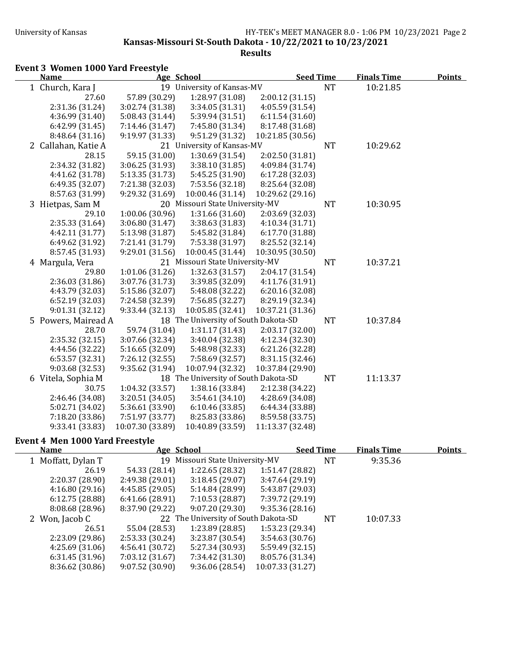**Kansas-Missouri St-South Dakota - 10/22/2021 to 10/23/2021** 

**Results**

# Event 3 Women 1000 Yard Freestyle

| <b>Name</b>         | Age School       |                                      | <b>Seed Time</b> |           | <b>Finals Time</b> | <b>Points</b> |
|---------------------|------------------|--------------------------------------|------------------|-----------|--------------------|---------------|
| 1 Church, Kara J    |                  | 19 University of Kansas-MV           |                  | <b>NT</b> | 10:21.85           |               |
| 27.60               | 57.89 (30.29)    | 1:28.97 (31.08)                      | 2:00.12(31.15)   |           |                    |               |
| 2:31.36 (31.24)     | 3:02.74 (31.38)  | 3:34.05 (31.31)                      | 4:05.59 (31.54)  |           |                    |               |
| 4:36.99 (31.40)     | 5:08.43 (31.44)  | 5:39.94 (31.51)                      | 6:11.54(31.60)   |           |                    |               |
| 6:42.99 (31.45)     | 7:14.46 (31.47)  | 7:45.80 (31.34)                      | 8:17.48 (31.68)  |           |                    |               |
| 8:48.64 (31.16)     | 9:19.97 (31.33)  | 9:51.29 (31.32)                      | 10:21.85 (30.56) |           |                    |               |
| 2 Callahan, Katie A |                  | 21 University of Kansas-MV           |                  | <b>NT</b> | 10:29.62           |               |
| 28.15               | 59.15 (31.00)    | 1:30.69 (31.54)                      | 2:02.50 (31.81)  |           |                    |               |
| 2:34.32 (31.82)     | 3:06.25 (31.93)  | 3:38.10 (31.85)                      | 4:09.84 (31.74)  |           |                    |               |
| 4:41.62 (31.78)     | 5:13.35 (31.73)  | 5:45.25 (31.90)                      | 6:17.28(32.03)   |           |                    |               |
| 6:49.35 (32.07)     | 7:21.38 (32.03)  | 7:53.56 (32.18)                      | 8:25.64 (32.08)  |           |                    |               |
| 8:57.63 (31.99)     | 9:29.32 (31.69)  | 10:00.46 (31.14)                     | 10:29.62 (29.16) |           |                    |               |
| 3 Hietpas, Sam M    |                  | 20 Missouri State University-MV      |                  | <b>NT</b> | 10:30.95           |               |
| 29.10               | 1:00.06 (30.96)  | 1:31.66 (31.60)                      | 2:03.69 (32.03)  |           |                    |               |
| 2:35.33 (31.64)     | 3:06.80 (31.47)  | 3:38.63 (31.83)                      | 4:10.34 (31.71)  |           |                    |               |
| 4:42.11 (31.77)     | 5:13.98 (31.87)  | 5:45.82 (31.84)                      | 6:17.70 (31.88)  |           |                    |               |
| 6:49.62 (31.92)     | 7:21.41 (31.79)  | 7:53.38 (31.97)                      | 8:25.52 (32.14)  |           |                    |               |
| 8:57.45 (31.93)     | 9:29.01 (31.56)  | 10:00.45 (31.44)                     | 10:30.95 (30.50) |           |                    |               |
| 4 Margula, Vera     |                  | 21 Missouri State University-MV      |                  | <b>NT</b> | 10:37.21           |               |
| 29.80               | 1:01.06 (31.26)  | 1:32.63 (31.57)                      | 2:04.17 (31.54)  |           |                    |               |
| 2:36.03 (31.86)     | 3:07.76 (31.73)  | 3:39.85 (32.09)                      | 4:11.76 (31.91)  |           |                    |               |
| 4:43.79 (32.03)     | 5:15.86 (32.07)  | 5:48.08 (32.22)                      | 6:20.16(32.08)   |           |                    |               |
| 6:52.19(32.03)      | 7:24.58 (32.39)  | 7:56.85 (32.27)                      | 8:29.19 (32.34)  |           |                    |               |
| 9:01.31(32.12)      | 9:33.44 (32.13)  | 10:05.85 (32.41)                     | 10:37.21 (31.36) |           |                    |               |
| 5 Powers, Mairead A |                  | 18 The University of South Dakota-SD |                  | <b>NT</b> | 10:37.84           |               |
| 28.70               | 59.74 (31.04)    | 1:31.17(31.43)                       | 2:03.17 (32.00)  |           |                    |               |
| 2:35.32(32.15)      | 3:07.66 (32.34)  | 3:40.04 (32.38)                      | 4:12.34 (32.30)  |           |                    |               |
| 4:44.56 (32.22)     | 5:16.65 (32.09)  | 5:48.98 (32.33)                      | 6:21.26 (32.28)  |           |                    |               |
| 6:53.57(32.31)      | 7:26.12 (32.55)  | 7:58.69 (32.57)                      | 8:31.15 (32.46)  |           |                    |               |
| 9:03.68 (32.53)     | 9:35.62 (31.94)  | 10:07.94 (32.32)                     | 10:37.84 (29.90) |           |                    |               |
| 6 Vitela, Sophia M  |                  | 18 The University of South Dakota-SD |                  | <b>NT</b> | 11:13.37           |               |
| 30.75               | 1:04.32 (33.57)  | 1:38.16 (33.84)                      | 2:12.38 (34.22)  |           |                    |               |
| 2:46.46 (34.08)     | 3:20.51 (34.05)  | 3:54.61(34.10)                       | 4:28.69 (34.08)  |           |                    |               |
| 5:02.71 (34.02)     | 5:36.61 (33.90)  | 6:10.46(33.85)                       | 6:44.34 (33.88)  |           |                    |               |
| 7:18.20 (33.86)     | 7:51.97 (33.77)  | 8:25.83 (33.86)                      | 8:59.58 (33.75)  |           |                    |               |
| 9:33.41 (33.83)     | 10:07.30 (33.89) | 10:40.89 (33.59)                     | 11:13.37 (32.48) |           |                    |               |

### **Event 4 Men 1000 Yard Freestyle**

| Name               | Age School      |                                      |                  | <b>Seed Time</b> | <b>Finals Time</b> | <b>Points</b> |
|--------------------|-----------------|--------------------------------------|------------------|------------------|--------------------|---------------|
| 1 Moffatt, Dylan T |                 | 19 Missouri State University-MV      |                  | NT               | 9:35.36            |               |
| 26.19              | 54.33 (28.14)   | 1:22.65(28.32)                       | 1:51.47 (28.82)  |                  |                    |               |
| 2:20.37 (28.90)    | 2:49.38(29.01)  | 3:18.45(29.07)                       | 3:47.64(29.19)   |                  |                    |               |
| 4:16.80(29.16)     | 4:45.85(29.05)  | 5:14.84 (28.99)                      | 5:43.87 (29.03)  |                  |                    |               |
| 6:12.75(28.88)     | 6:41.66(28.91)  | 7:10.53(28.87)                       | 7:39.72 (29.19)  |                  |                    |               |
| 8:08.68 (28.96)    | 8:37.90 (29.22) | 9:07.20(29.30)                       | 9:35.36(28.16)   |                  |                    |               |
| 2 Won, Jacob C     |                 | 22 The University of South Dakota-SD |                  | NT               | 10:07.33           |               |
| 26.51              | 55.04 (28.53)   | 1:23.89(28.85)                       | 1:53.23 (29.34)  |                  |                    |               |
| 2:23.09 (29.86)    | 2:53.33(30.24)  | 3:23.87(30.54)                       | 3:54.63(30.76)   |                  |                    |               |
| 4:25.69(31.06)     | 4:56.41(30.72)  | 5:27.34 (30.93)                      | 5:59.49 (32.15)  |                  |                    |               |
| 6:31.45(31.96)     | 7:03.12(31.67)  | 7:34.42 (31.30)                      | 8:05.76 (31.34)  |                  |                    |               |
| 8:36.62 (30.86)    | 9:07.52(30.90)  | 9:36.06(28.54)                       | 10:07.33 (31.27) |                  |                    |               |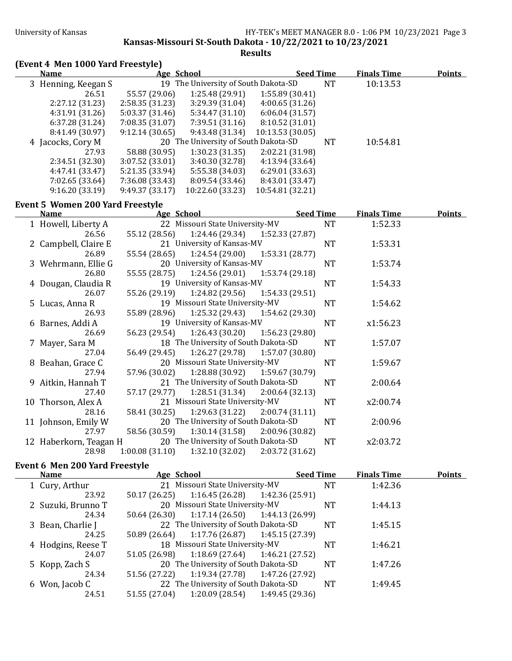**Kansas-Missouri St-South Dakota - 10/22/2021 to 10/23/2021** 

**Results**

# **(Event 4 Men 1000 Yard Freestyle)**

| <b>Name</b>         | Age School      |                                      | <b>Seed Time</b> |    | <b>Finals Time</b> | <b>Points</b> |
|---------------------|-----------------|--------------------------------------|------------------|----|--------------------|---------------|
| 3 Henning, Keegan S |                 | 19 The University of South Dakota-SD |                  | NT | 10:13.53           |               |
| 26.51               | 55.57 (29.06)   | 1:25.48 (29.91)                      | 1:55.89(30.41)   |    |                    |               |
| 2:27.12(31.23)      | 2:58.35(31.23)  | 3:29.39(31.04)                       | 4:00.65(31.26)   |    |                    |               |
| 4:31.91(31.26)      | 5:03.37(31.46)  | 5:34.47(31.10)                       | 6:06.04(31.57)   |    |                    |               |
| 6:37.28(31.24)      | 7:08.35(31.07)  | 7:39.51(31.16)                       | 8:10.52(31.01)   |    |                    |               |
| 8:41.49 (30.97)     | 9:12.14(30.65)  | 9:43.48(31.34)                       | 10:13.53 (30.05) |    |                    |               |
| 4 Jacocks, Cory M   |                 | 20 The University of South Dakota-SD |                  | NT | 10:54.81           |               |
| 27.93               | 58.88 (30.95)   | 1:30.23(31.35)                       | 2:02.21 (31.98)  |    |                    |               |
| 2:34.51(32.30)      | 3:07.52(33.01)  | 3:40.30 (32.78)                      | 4:13.94 (33.64)  |    |                    |               |
| 4:47.41(33.47)      | 5:21.35(33.94)  | 5:55.38 (34.03)                      | 6:29.01(33.63)   |    |                    |               |
| 7:02.65 (33.64)     | 7:36.08 (33.43) | 8:09.54 (33.46)                      | 8:43.01 (33.47)  |    |                    |               |
| 9:16.20(33.19)      | 9:49.37(33.17)  | 10:22.60 (33.23)                     | 10:54.81 (32.21) |    |                    |               |

## Event 5 Women 200 Yard Freestyle

| <b>Name</b>            | Age School     |                                      |                 | <b>Seed Time</b> |           | <b>Finals Time</b> | <b>Points</b> |
|------------------------|----------------|--------------------------------------|-----------------|------------------|-----------|--------------------|---------------|
| 1 Howell, Liberty A    |                | 22 Missouri State University-MV      |                 |                  | <b>NT</b> | 1:52.33            |               |
| 26.56                  | 55.12 (28.56)  | $1:24.46(29.34)$ $1:52.33(27.87)$    |                 |                  |           |                    |               |
| 2 Campbell, Claire E   |                | 21 University of Kansas-MV           |                 |                  | <b>NT</b> | 1:53.31            |               |
| 26.89                  | 55.54 (28.65)  | 1:24.54 (29.00)                      | 1:53.31 (28.77) |                  |           |                    |               |
| 3 Wehrmann, Ellie G    |                | 20 University of Kansas-MV           |                 |                  | <b>NT</b> | 1:53.74            |               |
| 26.80                  | 55.55 (28.75)  | 1:24.56 (29.01)                      | 1:53.74 (29.18) |                  |           |                    |               |
| 4 Dougan, Claudia R    |                | 19 University of Kansas-MV           |                 |                  | <b>NT</b> | 1:54.33            |               |
| 26.07                  |                | 55.26 (29.19) 1:24.82 (29.56)        | 1:54.33 (29.51) |                  |           |                    |               |
| 5 Lucas, Anna R        |                | 19 Missouri State University-MV      |                 |                  | <b>NT</b> | 1:54.62            |               |
| 26.93                  | 55.89 (28.96)  | $1:25.32(29.43)$ $1:54.62(29.30)$    |                 |                  |           |                    |               |
| 6 Barnes, Addi A       |                | 19 University of Kansas-MV           |                 |                  | <b>NT</b> | x1:56.23           |               |
| 26.69                  | 56.23 (29.54)  | $1:26.43(30.20)$ $1:56.23(29.80)$    |                 |                  |           |                    |               |
| 7 Mayer, Sara M        |                | 18 The University of South Dakota-SD |                 |                  | NT        | 1:57.07            |               |
| 27.04                  | 56.49 (29.45)  | $1:26.27(29.78)$ $1:57.07(30.80)$    |                 |                  |           |                    |               |
| 8 Beahan, Grace C      |                | 20 Missouri State University-MV      |                 |                  | <b>NT</b> | 1:59.67            |               |
| 27.94                  | 57.96 (30.02)  | 1:28.88 (30.92) 1:59.67 (30.79)      |                 |                  |           |                    |               |
| 9 Aitkin, Hannah T     |                | 21 The University of South Dakota-SD |                 |                  | <b>NT</b> | 2:00.64            |               |
| 27.40                  | 57.17 (29.77)  | 1:28.51(31.34)                       | 2:00.64 (32.13) |                  |           |                    |               |
| 10 Thorson, Alex A     |                | 21 Missouri State University-MV      |                 |                  | <b>NT</b> | x2:00.74           |               |
| 28.16                  | 58.41 (30.25)  | $1:29.63(31.22)$ $2:00.74(31.11)$    |                 |                  |           |                    |               |
| 11 Johnson, Emily W    |                | 20 The University of South Dakota-SD |                 |                  | <b>NT</b> | 2:00.96            |               |
| 27.97                  | 58.56 (30.59)  | 1:30.14 (31.58)                      | 2:00.96 (30.82) |                  |           |                    |               |
| 12 Haberkorn, Teagan H |                | 20 The University of South Dakota-SD |                 |                  | <b>NT</b> | x2:03.72           |               |
| 28.98                  | 1:00.08(31.10) | 1:32.10(32.02)                       | 2:03.72 (31.62) |                  |           |                    |               |

### **Event 6 Men 200 Yard Freestyle**

| <b>Name</b>        | Age School    |                                               | <b>Seed Time</b> |           | <b>Finals Time</b> | <b>Points</b> |
|--------------------|---------------|-----------------------------------------------|------------------|-----------|--------------------|---------------|
| 1 Cury, Arthur     |               | 21 Missouri State University-MV               |                  | <b>NT</b> | 1:42.36            |               |
| 23.92              |               | 50.17 (26.25) 1:16.45 (26.28) 1:42.36 (25.91) |                  |           |                    |               |
| 2 Suzuki, Brunno T |               | 20 Missouri State University-MV               |                  | <b>NT</b> | 1:44.13            |               |
| 24.34              |               | 50.64 (26.30) 1:17.14 (26.50) 1:44.13 (26.99) |                  |           |                    |               |
| 3 Bean, Charlie J  |               | 22 The University of South Dakota-SD          |                  | <b>NT</b> | 1:45.15            |               |
| 24.25              |               | 50.89 (26.64) 1:17.76 (26.87) 1:45.15 (27.39) |                  |           |                    |               |
| 4 Hodgins, Reese T |               | 18 Missouri State University-MV               |                  | <b>NT</b> | 1:46.21            |               |
| 24.07              |               | 51.05 (26.98) 1:18.69 (27.64) 1:46.21 (27.52) |                  |           |                    |               |
| 5 Kopp, Zach S     |               | 20 The University of South Dakota-SD          |                  | <b>NT</b> | 1:47.26            |               |
| 24.34              |               | 51.56 (27.22) 1:19.34 (27.78) 1:47.26 (27.92) |                  |           |                    |               |
| 6 Won, Jacob C     |               | 22 The University of South Dakota-SD          |                  | <b>NT</b> | 1:49.45            |               |
| 24.51              | 51.55 (27.04) | $1:20.09(28.54)$ $1:49.45(29.36)$             |                  |           |                    |               |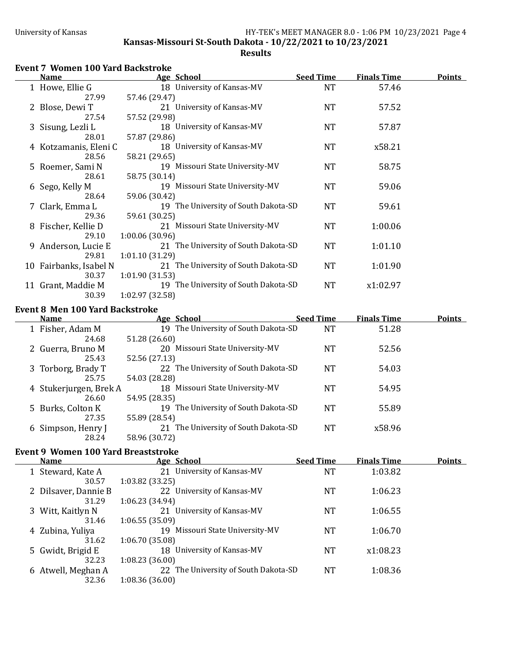**Kansas-Missouri St-South Dakota - 10/22/2021 to 10/23/2021** 

### **Results**

# **Event 7 Women 100 Yard Backstroke**

| <b>Name</b>            |                 | Age School                           | <b>Seed Time</b> | <b>Finals Time</b> | <b>Points</b> |
|------------------------|-----------------|--------------------------------------|------------------|--------------------|---------------|
| 1 Howe, Ellie G        |                 | 18 University of Kansas-MV           | <b>NT</b>        | 57.46              |               |
| 27.99                  | 57.46 (29.47)   |                                      |                  |                    |               |
| 2 Blose, Dewi T        |                 | 21 University of Kansas-MV           | <b>NT</b>        | 57.52              |               |
| 27.54                  | 57.52 (29.98)   |                                      |                  |                    |               |
| 3 Sisung, Lezli L      |                 | 18 University of Kansas-MV           | <b>NT</b>        | 57.87              |               |
| 28.01                  | 57.87 (29.86)   |                                      |                  |                    |               |
| 4 Kotzamanis, Eleni C  |                 | 18 University of Kansas-MV           | <b>NT</b>        | x58.21             |               |
| 28.56                  | 58.21 (29.65)   |                                      |                  |                    |               |
| 5 Roemer, Sami N       |                 | 19 Missouri State University-MV      | <b>NT</b>        | 58.75              |               |
| 28.61                  | 58.75 (30.14)   |                                      |                  |                    |               |
| 6 Sego, Kelly M        |                 | 19 Missouri State University-MV      | NT               | 59.06              |               |
| 28.64                  | 59.06 (30.42)   |                                      |                  |                    |               |
| 7 Clark, Emma L        |                 | 19 The University of South Dakota-SD | NT               | 59.61              |               |
| 29.36                  | 59.61 (30.25)   |                                      |                  |                    |               |
| 8 Fischer, Kellie D    |                 | 21 Missouri State University-MV      | NT               | 1:00.06            |               |
| 29.10                  | 1:00.06(30.96)  |                                      |                  |                    |               |
| 9 Anderson, Lucie E    |                 | 21 The University of South Dakota-SD | NT               | 1:01.10            |               |
| 29.81                  | 1:01.10(31.29)  |                                      |                  |                    |               |
| 10 Fairbanks, Isabel N |                 | 21 The University of South Dakota-SD | <b>NT</b>        | 1:01.90            |               |
| 30.37                  | 1:01.90(31.53)  |                                      |                  |                    |               |
| 11 Grant, Maddie M     |                 | 19 The University of South Dakota-SD | <b>NT</b>        | x1:02.97           |               |
| 30.39                  | 1:02.97 (32.58) |                                      |                  |                    |               |

### Event 8 Men 100 Yard Backstroke

| <b>Name</b> |                        | Age School                           | <b>Seed Time</b> | <b>Finals Time</b> | <b>Points</b> |
|-------------|------------------------|--------------------------------------|------------------|--------------------|---------------|
|             | 1 Fisher, Adam M       | 19 The University of South Dakota-SD | NT               | 51.28              |               |
|             | 24.68                  | 51.28 (26.60)                        |                  |                    |               |
|             | 2 Guerra, Bruno M      | 20 Missouri State University-MV      | NT               | 52.56              |               |
|             | 25.43                  | 52.56 (27.13)                        |                  |                    |               |
|             | 3 Torborg, Brady T     | 22 The University of South Dakota-SD | NT               | 54.03              |               |
|             | 25.75                  | 54.03 (28.28)                        |                  |                    |               |
|             | 4 Stukerjurgen, Brek A | 18 Missouri State University-MV      | NT               | 54.95              |               |
|             | 26.60                  | 54.95 (28.35)                        |                  |                    |               |
|             | 5 Burks, Colton K      | 19 The University of South Dakota-SD | NT               | 55.89              |               |
|             | 27.35                  | 55.89 (28.54)                        |                  |                    |               |
|             | 6 Simpson, Henry J     | 21 The University of South Dakota-SD | NT               | x58.96             |               |
|             | 28.24                  | 58.96 (30.72)                        |                  |                    |               |

## **Event 9 Women 100 Yard Breaststroke**

| <b>Name</b>          | Age School                           | <b>Seed Time</b> | <b>Finals Time</b> | <b>Points</b> |
|----------------------|--------------------------------------|------------------|--------------------|---------------|
| 1 Steward, Kate A    | 21 University of Kansas-MV           | <b>NT</b>        | 1:03.82            |               |
| 30.57                | 1:03.82(33.25)                       |                  |                    |               |
| 2 Dilsaver, Dannie B | 22 University of Kansas-MV           | <b>NT</b>        | 1:06.23            |               |
| 31.29                | 1:06.23(34.94)                       |                  |                    |               |
| 3 Witt, Kaitlyn N    | 21 University of Kansas-MV           | NT               | 1:06.55            |               |
| 31.46                | 1:06.55(35.09)                       |                  |                    |               |
| 4 Zubina, Yuliya     | 19 Missouri State University-MV      | NT               | 1:06.70            |               |
| 31.62                | 1:06.70(35.08)                       |                  |                    |               |
| 5 Gwidt, Brigid E    | 18 University of Kansas-MV           | <b>NT</b>        | x1:08.23           |               |
| 32.23                | 1:08.23(36.00)                       |                  |                    |               |
| 6 Atwell, Meghan A   | 22 The University of South Dakota-SD | <b>NT</b>        | 1:08.36            |               |
| 32.36                | 1:08.36(36.00)                       |                  |                    |               |
|                      |                                      |                  |                    |               |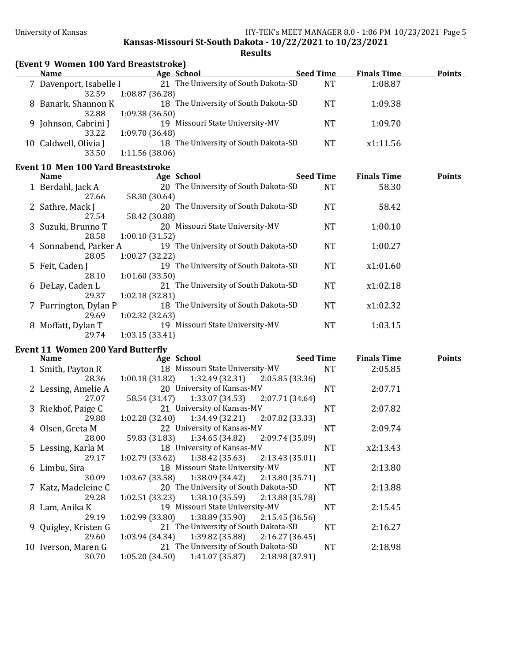**Kansas-Missouri St-South Dakota - 10/22/2021 to 10/23/2021**

## **Results**

|  |  |  |  | (Event 9 Women 100 Yard Breaststroke) |
|--|--|--|--|---------------------------------------|
|--|--|--|--|---------------------------------------|

| <b>Name</b>             | Age School                           | <b>Seed Time</b> | <b>Finals Time</b> | <b>Points</b> |
|-------------------------|--------------------------------------|------------------|--------------------|---------------|
| 7 Davenport, Isabelle I | 21 The University of South Dakota-SD | <b>NT</b>        | 1:08.87            |               |
| 32.59                   | 1:08.87(36.28)                       |                  |                    |               |
| 8 Banark, Shannon K     | 18 The University of South Dakota-SD | <b>NT</b>        | 1:09.38            |               |
| 32.88                   | 1:09.38(36.50)                       |                  |                    |               |
| 9 Johnson, Cabrini J    | 19 Missouri State University-MV      | NT               | 1:09.70            |               |
| 33.22                   | 1:09.70(36.48)                       |                  |                    |               |
| 10 Caldwell, Olivia J   | 18 The University of South Dakota-SD | <b>NT</b>        | x1:11.56           |               |
| 33.50                   | 1:11.56(38.06)                       |                  |                    |               |

## **Event 10 Men 100 Yard Breaststroke**

| <b>Name</b>            | Age School                           | <b>Seed Time</b> | <b>Finals Time</b> | <b>Points</b> |
|------------------------|--------------------------------------|------------------|--------------------|---------------|
| 1 Berdahl, Jack A      | 20 The University of South Dakota-SD | <b>NT</b>        | 58.30              |               |
| 27.66                  | 58.30 (30.64)                        |                  |                    |               |
| 2 Sathre, Mack J       | 20 The University of South Dakota-SD | <b>NT</b>        | 58.42              |               |
| 27.54                  | 58.42 (30.88)                        |                  |                    |               |
| 3 Suzuki, Brunno T     | 20 Missouri State University-MV      | <b>NT</b>        | 1:00.10            |               |
| 28.58                  | 1:00.10(31.52)                       |                  |                    |               |
| 4 Sonnabend, Parker A  | 19 The University of South Dakota-SD | <b>NT</b>        | 1:00.27            |               |
| 28.05                  | 1:00.27(32.22)                       |                  |                    |               |
| 5 Feit, Caden J        | 19 The University of South Dakota-SD | NT               | x1:01.60           |               |
| 28.10                  | 1:01.60(33.50)                       |                  |                    |               |
| 6 DeLay, Caden L       | 21 The University of South Dakota-SD | <b>NT</b>        | x1:02.18           |               |
| 29.37                  | 1:02.18(32.81)                       |                  |                    |               |
| 7 Purrington, Dylan P  | 18 The University of South Dakota-SD | <b>NT</b>        | x1:02.32           |               |
| 29.69                  | 1:02.32(32.63)                       |                  |                    |               |
| Moffatt, Dylan T<br>8. | 19 Missouri State University-MV      | <b>NT</b>        | 1:03.15            |               |
| 29.74                  | 1:03.15(33.41)                       |                  |                    |               |
|                        |                                      |                  |                    |               |

# **Event 11 Women 200 Yard Butterfly**

| <b>Name</b>          | Age School                                            |                                     | <b>Seed Time</b> |           | <b>Finals Time</b> | <b>Points</b> |
|----------------------|-------------------------------------------------------|-------------------------------------|------------------|-----------|--------------------|---------------|
| 1 Smith, Payton R    | 18 Missouri State University-MV                       |                                     |                  | <b>NT</b> | 2:05.85            |               |
| 28.36                | $1:00.18(31.82)$ $1:32.49(32.31)$ $2:05.85(33.36)$    |                                     |                  |           |                    |               |
| 2 Lessing, Amelie A  | 20 University of Kansas-MV                            |                                     |                  | <b>NT</b> | 2:07.71            |               |
| 27.07                | 58.54 (31.47)                                         | $1:33.07(34.53)$ $2:07.71(34.64)$   |                  |           |                    |               |
| 3 Riekhof, Paige C   | 21 University of Kansas-MV                            |                                     |                  | NT        | 2:07.82            |               |
| 29.88                | 1:02.28(32.40)                                        | $1:34.49(32.21)$ $2:07.82(33.33)$   |                  |           |                    |               |
| 4 Olsen, Greta M     | 22 University of Kansas-MV                            |                                     |                  | <b>NT</b> | 2:09.74            |               |
| 28.00                | 59.83 (31.83) 1:34.65 (34.82) 2:09.74 (35.09)         |                                     |                  |           |                    |               |
| 5 Lessing, Karla M   | 18 University of Kansas-MV                            |                                     |                  | NT        | x2:13.43           |               |
| 29.17                | $1:02.79$ (33.62) $1:38.42$ (35.63) $2:13.43$ (35.01) |                                     |                  |           |                    |               |
| 6 Limbu, Sira        | 18 Missouri State University-MV                       |                                     |                  | <b>NT</b> | 2:13.80            |               |
| 30.09                | $1:03.67(33.58)$ $1:38.09(34.42)$ $2:13.80(35.71)$    |                                     |                  |           |                    |               |
| 7 Katz, Madeleine C  | 20 The University of South Dakota-SD                  |                                     |                  | <b>NT</b> | 2:13.88            |               |
| 29.28                | $1:02.51(33.23)$ $1:38.10(35.59)$ $2:13.88(35.78)$    |                                     |                  |           |                    |               |
| 8 Lam, Anika K       | 19 Missouri State University-MV                       |                                     |                  | NT        | 2:15.45            |               |
| 29.19                | 1:02.99(33.80)                                        | $1:38.89(35.90)$ $2:15.45(36.56)$   |                  |           |                    |               |
| 9 Quigley, Kristen G | 21 The University of South Dakota-SD                  |                                     |                  | NT        | 2:16.27            |               |
| 29.60                | 1:03.94(34.34)                                        | $1:39.82$ (35.88) $2:16.27$ (36.45) |                  |           |                    |               |
| 10 Iverson, Maren G  | 21 The University of South Dakota-SD                  |                                     |                  | NT        | 2:18.98            |               |
| 30.70                | 1:05.20(34.50)<br>1:41.07 (35.87)                     |                                     | 2:18.98(37.91)   |           |                    |               |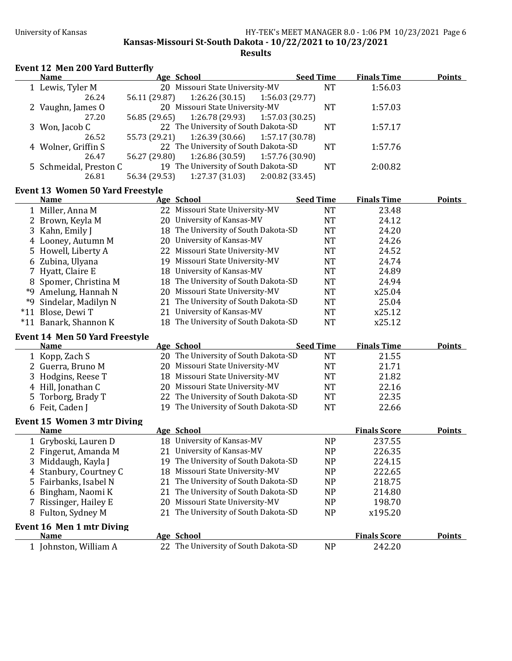**Kansas-Missouri St-South Dakota - 10/22/2021 to 10/23/2021** 

**Results**

## **Event 12 Men 200 Yard Butterfly**

| <b>Name</b>            | Age School |                                               | <b>Seed Time</b> | <b>Finals Time</b> | <b>Points</b> |
|------------------------|------------|-----------------------------------------------|------------------|--------------------|---------------|
| 1 Lewis, Tyler M       |            | 20 Missouri State University-MV               | <b>NT</b>        | 1:56.03            |               |
| 26.24                  |            | 56.11 (29.87) 1:26.26 (30.15) 1:56.03 (29.77) |                  |                    |               |
| 2 Vaughn, James O      |            | 20 Missouri State University-MV               | <b>NT</b>        | 1:57.03            |               |
| 27.20                  |            | 56.85 (29.65) 1:26.78 (29.93) 1:57.03 (30.25) |                  |                    |               |
| 3 Won, Jacob C         |            | 22 The University of South Dakota-SD          | NT.              | 1:57.17            |               |
| 26.52                  |            | 55.73 (29.21) 1:26.39 (30.66) 1:57.17 (30.78) |                  |                    |               |
| 4 Wolner, Griffin S    |            | 22 The University of South Dakota-SD          | <b>NT</b>        | 1:57.76            |               |
| 26.47                  |            | 56.27 (29.80) 1:26.86 (30.59) 1:57.76 (30.90) |                  |                    |               |
| 5 Schmeidal, Preston C |            | 19 The University of South Dakota-SD          | <b>NT</b>        | 2:00.82            |               |
| 26.81                  |            | 56.34 (29.53) 1:27.37 (31.03) 2:00.82 (33.45) |                  |                    |               |

## **Event 13 Women 50 Yard Freestyle**

| <b>Name</b>            | Age School                           | <b>Seed Time</b> | <b>Finals Time</b> | <b>Points</b> |
|------------------------|--------------------------------------|------------------|--------------------|---------------|
| 1 Miller, Anna M       | 22 Missouri State University-MV      | NΤ               | 23.48              |               |
| 2 Brown, Keyla M       | 20 University of Kansas-MV           | NT               | 24.12              |               |
| 3 Kahn, Emily J        | 18 The University of South Dakota-SD | NT               | 24.20              |               |
| 4 Looney, Autumn M     | 20 University of Kansas-MV           | NΤ               | 24.26              |               |
| 5 Howell, Liberty A    | 22 Missouri State University-MV      | NΤ               | 24.52              |               |
| 6 Zubina, Ulyana       | 19 Missouri State University-MV      | NT               | 24.74              |               |
| 7 Hyatt, Claire E      | 18 University of Kansas-MV           | NT               | 24.89              |               |
| 8 Spomer, Christina M  | 18 The University of South Dakota-SD | NT               | 24.94              |               |
| *9 Amelung, Hannah N   | 20 Missouri State University-MV      | NT               | x25.04             |               |
| *9 Sindelar, Madilyn N | 21 The University of South Dakota-SD | NT               | 25.04              |               |
| *11 Blose, Dewi T      | 21 University of Kansas-MV           | NT               | x25.12             |               |
| *11 Banark, Shannon K  | 18 The University of South Dakota-SD | NT               | x25.12             |               |

### Event 14 Men 50 Yard Freestyle

| <b>Name</b>                        |     | Age School                           | <b>Seed Time</b> | <b>Finals Time</b>  | <b>Points</b> |
|------------------------------------|-----|--------------------------------------|------------------|---------------------|---------------|
| 1 Kopp, Zach S                     |     | 20 The University of South Dakota-SD | <b>NT</b>        | 21.55               |               |
| 2 Guerra, Bruno M                  | 20  | Missouri State University-MV         | <b>NT</b>        | 21.71               |               |
| Hodgins, Reese T<br>3              | 18  | Missouri State University-MV         | <b>NT</b>        | 21.82               |               |
| 4 Hill, Jonathan C                 | 20. | Missouri State University-MV         | <b>NT</b>        | 22.16               |               |
| 5 Torborg, Brady T                 | 22  | The University of South Dakota-SD    | <b>NT</b>        | 22.35               |               |
| 6 Feit, Caden J                    | 19  | The University of South Dakota-SD    | <b>NT</b>        | 22.66               |               |
| <b>Event 15 Women 3 mtr Diving</b> |     |                                      |                  |                     |               |
| Name                               |     | <u>Age School</u>                    |                  | <b>Finals Score</b> | <b>Points</b> |
| 1 Gryboski, Lauren D               | 18  | University of Kansas-MV              | NP               | 237.55              |               |
| 2 Fingerut, Amanda M               | 21  | University of Kansas-MV              | NP               | 226.35              |               |
| 3 Middaugh, Kayla J                | 19  | The University of South Dakota-SD    | N <sub>P</sub>   | 224.15              |               |
| 4 Stanbury, Courtney C             | 18  | Missouri State University-MV         | NP               | 222.65              |               |
| 5 Fairbanks, Isabel N              | 21  | The University of South Dakota-SD    | NP               | 218.75              |               |
| 6 Bingham, Naomi K                 | 21  | The University of South Dakota-SD    | NP               | 214.80              |               |
| Rissinger, Hailey E                | 20  | Missouri State University-MV         | NP               | 198.70              |               |
| 8 Fulton, Sydney M                 | 21  | The University of South Dakota-SD    | NP               | x195.20             |               |
| Event 16 Men 1 mtr Diving          |     |                                      |                  |                     |               |
| Name                               |     | Age School                           |                  | <b>Finals Score</b> | <b>Points</b> |
| Johnston, William A                |     | 22 The University of South Dakota-SD | NP               | 242.20              |               |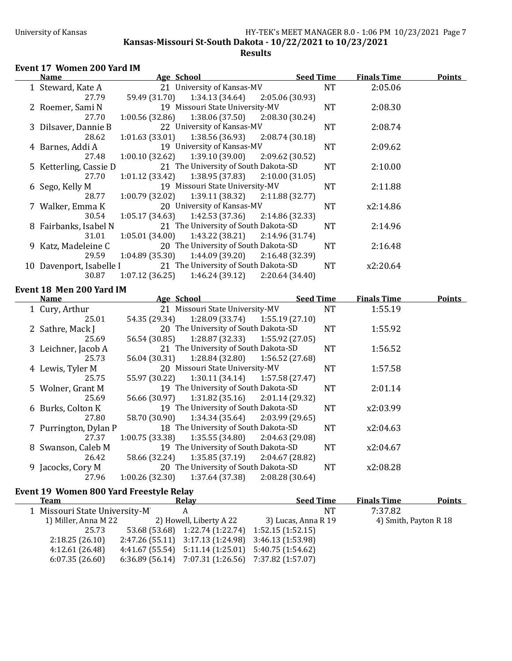**Kansas-Missouri St-South Dakota - 10/22/2021 to 10/23/2021** 

### **Results**

## Event 17 Women 200 Yard IM

| Name                           | Age School                                                               |                 | <b>Seed Time</b>              | <b>Finals Time</b> | <b>Points</b> |
|--------------------------------|--------------------------------------------------------------------------|-----------------|-------------------------------|--------------------|---------------|
| 1 Steward, Kate A              | 21 University of Kansas-MV                                               |                 | <b>NT</b>                     | 2:05.06            |               |
| 27.79                          | 59.49 (31.70)<br>1:34.13 (34.64)                                         | 2:05.06 (30.93) |                               |                    |               |
| 2 Roemer, Sami N               | 19 Missouri State University-MV                                          |                 | <b>NT</b>                     | 2:08.30            |               |
| 27.70                          | 1:00.56(32.86)<br>1:38.06 (37.50)                                        | 2:08.30 (30.24) |                               |                    |               |
| 3 Dilsaver, Dannie B           | 22 University of Kansas-MV                                               |                 | <b>NT</b>                     | 2:08.74            |               |
| 28.62                          | 1:01.63(33.01)<br>1:38.56 (36.93)                                        | 2:08.74(30.18)  |                               |                    |               |
| 4 Barnes, Addi A               | 19 University of Kansas-MV                                               |                 | $\rm{NT}$                     | 2:09.62            |               |
| 27.48                          | 1:00.10(32.62)<br>1:39.10(39.00)                                         | 2:09.62 (30.52) |                               |                    |               |
| 5 Ketterling, Cassie D         | 21 The University of South Dakota-SD                                     |                 | <b>NT</b>                     | 2:10.00            |               |
| 27.70                          | 1:38.95 (37.83)<br>1:01.12(33.42)                                        | 2:10.00(31.05)  |                               |                    |               |
| 6 Sego, Kelly M                | 19 Missouri State University-MV                                          |                 | <b>NT</b>                     | 2:11.88            |               |
| 28.77                          | 1:00.79 (32.02)<br>1:39.11 (38.32)                                       | 2:11.88 (32.77) |                               |                    |               |
| 7 Walker, Emma K               | 20 University of Kansas-MV                                               |                 | <b>NT</b>                     | x2:14.86           |               |
| 30.54                          | 1:05.17(34.63)<br>1:42.53 (37.36)                                        | 2:14.86 (32.33) |                               |                    |               |
| 8 Fairbanks, Isabel N          | 21 The University of South Dakota-SD                                     |                 | <b>NT</b>                     | 2:14.96            |               |
| 31.01                          | 1:05.01(34.00)<br>1:43.22 (38.21)                                        | 2:14.96 (31.74) |                               |                    |               |
| 9 Katz, Madeleine C            | 20 The University of South Dakota-SD                                     |                 | <b>NT</b>                     | 2:16.48            |               |
| 29.59                          | 1:04.89(35.30)<br>1:44.09(39.20)                                         | 2:16.48 (32.39) |                               |                    |               |
| 10 Davenport, Isabelle I       | 21 The University of South Dakota-SD                                     |                 | <b>NT</b>                     | x2:20.64           |               |
|                                |                                                                          |                 |                               |                    |               |
| 30.87                          | 1:07.12(36.25)<br>1:46.24(39.12)                                         | 2:20.64 (34.40) |                               |                    |               |
|                                |                                                                          |                 |                               |                    |               |
| Event 18 Men 200 Yard IM       |                                                                          |                 |                               |                    |               |
| Name                           | Age School<br>21 Missouri State University-MV                            |                 | <b>Seed Time</b><br><b>NT</b> | <b>Finals Time</b> | <b>Points</b> |
| 1 Cury, Arthur<br>25.01        | 54.35 (29.34)                                                            |                 |                               | 1:55.19            |               |
|                                | 1:28.09 (33.74)                                                          | 1:55.19 (27.10) |                               |                    |               |
| 2 Sathre, Mack J<br>25.69      | 20 The University of South Dakota-SD                                     |                 | <b>NT</b>                     | 1:55.92            |               |
|                                | 56.54 (30.85)<br>1:28.87 (32.33)                                         | 1:55.92 (27.05) |                               |                    |               |
| 3 Leichner, Jacob A<br>25.73   | 21 The University of South Dakota-SD<br>56.04 (30.31)<br>1:28.84(32.80)  |                 | <b>NT</b>                     | 1:56.52            |               |
|                                | 20 Missouri State University-MV                                          | 1:56.52 (27.68) |                               |                    |               |
| 4 Lewis, Tyler M<br>25.75      |                                                                          |                 | <b>NT</b>                     | 1:57.58            |               |
|                                | 55.97 (30.22)<br>1:30.11(34.14)<br>19 The University of South Dakota-SD  | 1:57.58(27.47)  |                               |                    |               |
| 5 Wolner, Grant M              |                                                                          |                 | <b>NT</b>                     | 2:01.14            |               |
| 25.69                          | 56.66 (30.97)<br>1:31.82(35.16)                                          | 2:01.14(29.32)  |                               |                    |               |
| 6 Burks, Colton K<br>27.80     | 19 The University of South Dakota-SD<br>58.70 (30.90)<br>1:34.34 (35.64) | 2:03.99(29.65)  | <b>NT</b>                     | x2:03.99           |               |
|                                | 18 The University of South Dakota-SD                                     |                 |                               | x2:04.63           |               |
| 7 Purrington, Dylan P<br>27.37 | 1:00.75(33.38)<br>1:35.55(34.80)                                         | 2:04.63 (29.08) | <b>NT</b>                     |                    |               |
| 8 Swanson, Caleb M             | 19 The University of South Dakota-SD                                     |                 | <b>NT</b>                     | x2:04.67           |               |
| 26.42                          | 58.66 (32.24)<br>1:35.85(37.19)                                          | 2:04.67 (28.82) |                               |                    |               |
| 9 Jacocks, Cory M              | 20 The University of South Dakota-SD                                     |                 | <b>NT</b>                     | x2:08.28           |               |

## Event 19 Women 800 Yard Freestyle Relay

| Team                          | Relay                                                     | <b>Seed Time</b>    | <b>Finals Time</b>    | <b>Points</b> |
|-------------------------------|-----------------------------------------------------------|---------------------|-----------------------|---------------|
| 1 Missouri State University-M | А                                                         | NT                  | 7:37.82               |               |
| 1) Miller, Anna M 22          | 2) Howell, Liberty A 22                                   | 3) Lucas, Anna R 19 | 4) Smith, Payton R 18 |               |
| 25.73                         | 53.68 (53.68) 1:22.74 (1:22.74) 1:52.15 (1:52.15)         |                     |                       |               |
| 2:18.25(26.10)                | $2:47.26(55.11)$ $3:17.13(1:24.98)$ $3:46.13(1:53.98)$    |                     |                       |               |
| 4:12.61(26.48)                | $4:41.67(55.54)$ $5:11.14(1:25.01)$ $5:40.75(1:54.62)$    |                     |                       |               |
| 6:07.35(26.60)                | $6:36.89$ (56.14) $7:07.31$ (1:26.56) $7:37.82$ (1:57.07) |                     |                       |               |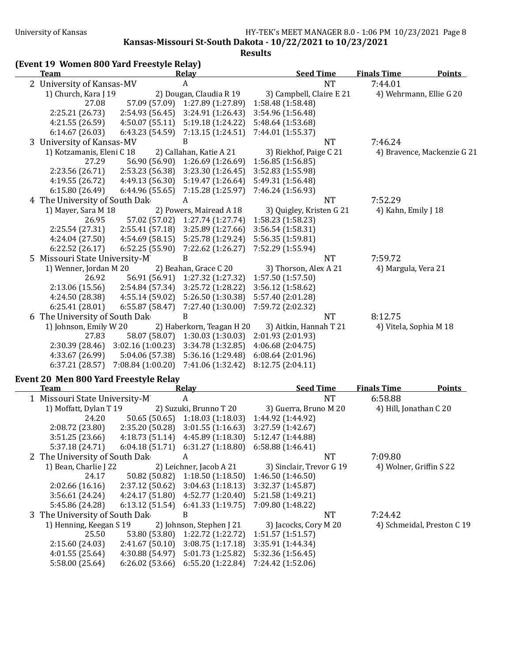**Kansas-Missouri St-South Dakota - 10/22/2021 to 10/23/2021**

**Results**

|  |  |  |  | (Event 19 Women 800 Yard Freestyle Relay) |  |
|--|--|--|--|-------------------------------------------|--|
|--|--|--|--|-------------------------------------------|--|

| <b>Finals Time</b>          | <b>Points</b>                                                                                         |
|-----------------------------|-------------------------------------------------------------------------------------------------------|
| 7:44.01                     |                                                                                                       |
| 4) Wehrmann, Ellie G 20     |                                                                                                       |
|                             |                                                                                                       |
|                             |                                                                                                       |
|                             |                                                                                                       |
|                             |                                                                                                       |
| 7:46.24                     |                                                                                                       |
| 4) Bravence, Mackenzie G 21 |                                                                                                       |
|                             |                                                                                                       |
|                             |                                                                                                       |
|                             |                                                                                                       |
|                             |                                                                                                       |
|                             |                                                                                                       |
|                             |                                                                                                       |
|                             |                                                                                                       |
|                             |                                                                                                       |
|                             |                                                                                                       |
|                             |                                                                                                       |
|                             |                                                                                                       |
|                             |                                                                                                       |
|                             |                                                                                                       |
|                             |                                                                                                       |
|                             |                                                                                                       |
|                             |                                                                                                       |
|                             |                                                                                                       |
|                             |                                                                                                       |
|                             |                                                                                                       |
|                             |                                                                                                       |
|                             |                                                                                                       |
|                             |                                                                                                       |
|                             | 7:52.29<br>4) Kahn, Emily J 18<br>7:59.72<br>4) Margula, Vera 21<br>8:12.75<br>4) Vitela, Sophia M 18 |

## Event 20 Men 800 Yard Freestyle Relay

| Team                          |                 | Relay                    | <b>Seed Time</b>         | <b>Finals Time</b>      | <b>Points</b>              |
|-------------------------------|-----------------|--------------------------|--------------------------|-------------------------|----------------------------|
| 1 Missouri State University-M |                 | A                        | <b>NT</b>                | 6:58.88                 |                            |
| 1) Moffatt, Dylan T 19        |                 | 2) Suzuki, Brunno T 20   | 3) Guerra, Bruno M 20    | 4) Hill, Jonathan C 20  |                            |
| 24.20                         | 50.65 (50.65)   | 1:18.03(1:18.03)         | 1:44.92 (1:44.92)        |                         |                            |
| 2:08.72(23.80)                | 2:35.20(50.28)  | 3:01.55(1:16.63)         | 3:27.59 (1:42.67)        |                         |                            |
| 3:51.25(23.66)                | 4:18.73 (51.14) | 4:45.89(1:18.30)         | 5:12.47 (1:44.88)        |                         |                            |
| 5:37.18(24.71)                | 6:04.18(51.71)  | 6:31.27(1:18.80)         | 6:58.88(1:46.41)         |                         |                            |
| 2 The University of South Dak |                 | A                        | NT                       | 7:09.80                 |                            |
| 1) Bean, Charlie J 22         |                 | 2) Leichner, Jacob A 21  | 3) Sinclair, Trevor G 19 | 4) Wolner, Griffin S 22 |                            |
| 24.17                         | 50.82 (50.82)   | 1:18.50(1:18.50)         | 1:46.50(1:46.50)         |                         |                            |
| 2:02.66(16.16)                | 2:37.12(50.62)  | 3:04.63(1:18.13)         | 3:32.37(1:45.87)         |                         |                            |
| 3:56.61(24.24)                | 4:24.17 (51.80) | 4:52.77(1:20.40)         | 5:21.58 (1:49.21)        |                         |                            |
| 5:45.86 (24.28)               | 6:13.12(51.54)  | 6:41.33(1:19.75)         | 7:09.80 (1:48.22)        |                         |                            |
| 3 The University of South Dak |                 | B                        | NT                       | 7:24.42                 |                            |
| 1) Henning, Keegan S 19       |                 | 2) Johnson, Stephen J 21 | 3) Jacocks, Cory M 20    |                         | 4) Schmeidal, Preston C 19 |
| 25.50                         | 53.80 (53.80)   | 1:22.72 (1:22.72)        | 1:51.57(1:51.57)         |                         |                            |
| 2:15.60(24.03)                | 2:41.67(50.10)  | 3:08.75(1:17.18)         | 3:35.91 (1:44.34)        |                         |                            |
| 4:01.55(25.64)                | 4:30.88(54.97)  | 5:01.73 (1:25.82)        | 5:32.36 (1:56.45)        |                         |                            |
| 5:58.00 (25.64)               | 6:26.02(53.66)  | 6:55.20(1:22.84)         | 7:24.42 (1:52.06)        |                         |                            |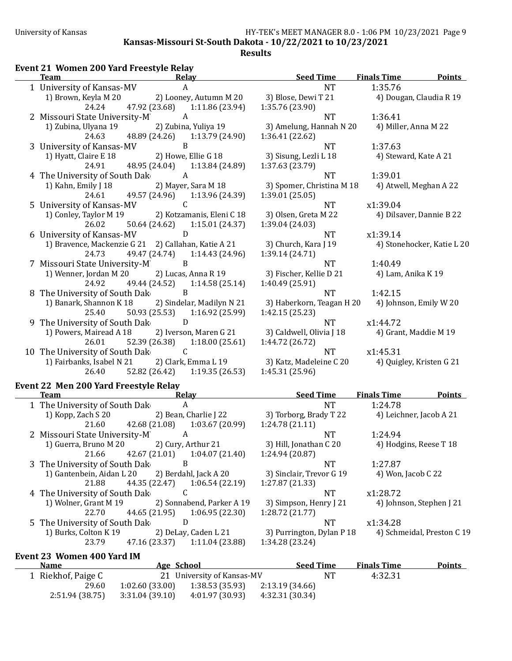**Kansas-Missouri St-South Dakota - 10/22/2021 to 10/23/2021** 

## Event 21 Women 200 Yard Freestyle Relay

| <b>Team</b>                                  | Relay                                                                           | <b>Seed Time</b>                            | <b>Finals Time</b><br><b>Points</b> |
|----------------------------------------------|---------------------------------------------------------------------------------|---------------------------------------------|-------------------------------------|
| 1 University of Kansas-MV                    | $\boldsymbol{A}$                                                                | <b>NT</b>                                   | 1:35.76                             |
| 1) Brown, Keyla M 20                         | 2) Looney, Autumn M 20 3) Blose, Dewi T 21                                      |                                             | 4) Dougan, Claudia R 19             |
| 24.24                                        | 47.92 (23.68) 1:11.86 (23.94)                                                   | 1:35.76 (23.90)                             |                                     |
| 2 Missouri State University-M                | $\overline{A}$                                                                  | <b>NT</b>                                   | 1:36.41                             |
| 1) Zubina, Ulyana 19                         | 2) Zubina, Yuliya 19                                                            | 3) Amelung, Hannah N 20                     | 4) Miller, Anna M 22                |
| 24.63                                        | 48.89 (24.26) 1:13.79 (24.90)                                                   | 1:36.41 (22.62)                             |                                     |
| 3 University of Kansas-MV                    | B                                                                               | <b>NT</b>                                   | 1:37.63                             |
| 1) Hyatt, Claire E 18                        | 2) Howe, Ellie G 18                                                             | 3) Sisung, Lezli L 18                       | 4) Steward, Kate A 21               |
| 24.91                                        | 48.95 (24.04) 1:13.84 (24.89)                                                   | 1:37.63 (23.79)                             |                                     |
| 4 The University of South Dak                | $\overline{A}$                                                                  | <b>NT</b>                                   | 1:39.01                             |
| 1) Kahn, Emily J 18                          | 2) Mayer, Sara M 18                                                             | 3) Spomer, Christina M 18                   | 4) Atwell, Meghan A 22              |
| 24.61                                        | 49.57 (24.96) 1:13.96 (24.39)                                                   | 1:39.01(25.05)                              |                                     |
| 5 University of Kansas-MV                    | $\overline{C}$                                                                  | <b>NT</b>                                   | x1:39.04                            |
|                                              | 1) Conley, Taylor M 19 2) Kotzamanis, Eleni C 18                                | 3) Olsen, Greta M 22                        | 4) Dilsaver, Dannie B 22            |
| 26.02                                        | 50.64 (24.62) 1:15.01 (24.37)                                                   | 1:39.04 (24.03)                             |                                     |
| 6 University of Kansas-MV D                  |                                                                                 | <b>NT</b>                                   | x1:39.14                            |
|                                              | 1) Bravence, Mackenzie G 21 2) Callahan, Katie A 21                             | 3) Church, Kara J 19                        | 4) Stonehocker, Katie L 20          |
| 24.73                                        | 49.47 (24.74) 1:14.43 (24.96)                                                   | 1:39.14 (24.71)                             |                                     |
| 7 Missouri State University-M                | $\overline{B}$                                                                  | <b>NT</b>                                   | 1:40.49                             |
|                                              | 1) Wenner, Jordan M 20 2) Lucas, Anna R 19                                      | 3) Fischer, Kellie D 21                     | 4) Lam, Anika K 19                  |
|                                              | 24.92 49.44 (24.52) 1:14.58 (25.14)                                             | 1:40.49 (25.91)                             |                                     |
| 8 The University of South Dak                | B                                                                               | <b>NT</b>                                   | 1:42.15                             |
|                                              | 1) Banark, Shannon K 18 2) Sindelar, Madilyn N 21                               | 3) Haberkorn, Teagan H 20                   | 4) Johnson, Emily W 20              |
| 25.40                                        | 50.93 (25.53) 1:16.92 (25.99)                                                   | 1:42.15(25.23)                              |                                     |
| 9 The University of South Dak D              |                                                                                 | NT                                          | x1:44.72                            |
| 26.01                                        | 1) Powers, Mairead A 18 2) Iverson, Maren G 21<br>52.39 (26.38) 1:18.00 (25.61) | 3) Caldwell, Olivia J 18<br>1:44.72 (26.72) | 4) Grant, Maddie M 19               |
|                                              | C                                                                               | <b>NT</b>                                   | x1:45.31                            |
| 10 The University of South Dak               | 1) Fairbanks, Isabel N 21 2) Clark, Emma L 19                                   | 3) Katz, Madeleine C 20                     | 4) Quigley, Kristen G 21            |
|                                              | 26.40 52.82 (26.42) 1:19.35 (26.53)                                             | 1:45.31 (25.96)                             |                                     |
|                                              |                                                                                 |                                             |                                     |
| <b>Event 22 Men 200 Yard Freestyle Relay</b> |                                                                                 |                                             |                                     |
| <b>Team</b>                                  | Relay                                                                           | <b>Seed Time</b>                            | <b>Finals Time</b><br><b>Points</b> |
| 1 The University of South Dak                | A                                                                               | <b>NT</b>                                   | 1:24.78                             |
| 1) Kopp, Zach S 20                           | 2) Bean, Charlie J 22 3) Torborg, Brady T 22                                    |                                             | 4) Leichner, Jacob A 21             |
| 21.60                                        | 42.68 (21.08) 1:03.67 (20.99)                                                   | 1:24.78(21.11)                              |                                     |
| 2 Missouri State University-M A              |                                                                                 | <b>NT</b>                                   | 1:24.94                             |
| 1) Guerra, Bruno M 20                        | 2) Cury, Arthur 21                                                              | 3) Hill, Jonathan C 20                      | 4) Hodgins, Reese T 18              |
| 21.66                                        | 42.67 (21.01)<br>1:04.07(21.40)<br>B                                            | 1:24.94 (20.87)<br><b>NT</b>                |                                     |
| 3 The University of South Dak                | 2) Berdahl, Jack A 20                                                           |                                             | 1:27.87                             |
| 1) Gantenbein, Aidan L 20<br>21.88           | 44.35 (22.47)<br>1:06.54(22.19)                                                 | 3) Sinclair, Trevor G 19<br>1:27.87 (21.33) | 4) Won, Jacob C 22                  |
| 4 The University of South Dak                | C                                                                               | <b>NT</b>                                   | x1:28.72                            |
| 1) Wolner, Grant M 19                        | 2) Sonnabend, Parker A 19                                                       | 3) Simpson, Henry J 21                      | 4) Johnson, Stephen J 21            |
| 22.70                                        | 44.65 (21.95)<br>1:06.95 (22.30)                                                | 1:28.72 (21.77)                             |                                     |
| 5 The University of South Dak                | D                                                                               | <b>NT</b>                                   | x1:34.28                            |
| 1) Burks, Colton K 19                        | 2) DeLay, Caden L 21                                                            | 3) Purrington, Dylan P 18                   | 4) Schmeidal, Preston C 19          |
| 23.79                                        | 47.16 (23.37)<br>1:11.04(23.88)                                                 | 1:34.28 (23.24)                             |                                     |

## Event 23 Women 400 Yard IM

| <b>Name</b>        | Age School      |                                   | <b>Seed Time</b> |    | <b>Finals Time</b> | <b>Points</b> |
|--------------------|-----------------|-----------------------------------|------------------|----|--------------------|---------------|
| 1 Riekhof, Paige C |                 | 21 University of Kansas-MV        |                  | NT | 4:32.31            |               |
| 29.60              |                 | $1:02.60(33.00)$ $1:38.53(35.93)$ | 2:13.19 (34.66)  |    |                    |               |
| 2:51.94(38.75)     | 3:31.04 (39.10) | 4:01.97 (30.93)                   | 4:32.31 (30.34)  |    |                    |               |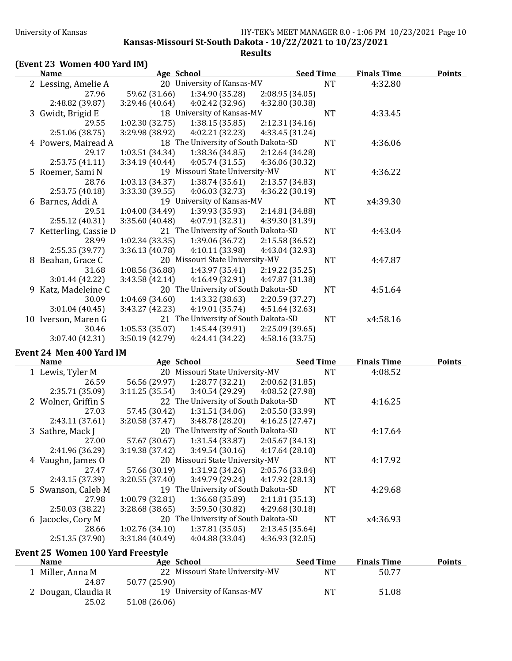**Kansas-Missouri St-South Dakota - 10/22/2021 to 10/23/2021** 

**Results**

## **(Event 23 Women 400 Yard IM)**

| Name                   | Age School      |                                      | <b>Seed Time</b> |           | <b>Finals Time</b> | <b>Points</b> |
|------------------------|-----------------|--------------------------------------|------------------|-----------|--------------------|---------------|
| 2 Lessing, Amelie A    |                 | 20 University of Kansas-MV           |                  | <b>NT</b> | 4:32.80            |               |
| 27.96                  | 59.62 (31.66)   | 1:34.90 (35.28)                      | 2:08.95 (34.05)  |           |                    |               |
| 2:48.82 (39.87)        | 3:29.46(40.64)  | 4:02.42 (32.96)                      | 4:32.80 (30.38)  |           |                    |               |
| 3 Gwidt, Brigid E      |                 | 18 University of Kansas-MV           |                  | <b>NT</b> | 4:33.45            |               |
| 29.55                  | 1:02.30(32.75)  | 1:38.15(35.85)                       | 2:12.31 (34.16)  |           |                    |               |
| 2:51.06 (38.75)        | 3:29.98 (38.92) | 4:02.21(32.23)                       | 4:33.45 (31.24)  |           |                    |               |
| 4 Powers, Mairead A    |                 | 18 The University of South Dakota-SD |                  | <b>NT</b> | 4:36.06            |               |
| 29.17                  | 1:03.51(34.34)  | 1:38.36(34.85)                       | 2:12.64 (34.28)  |           |                    |               |
| 2:53.75(41.11)         | 3:34.19(40.44)  | 4:05.74(31.55)                       | 4:36.06 (30.32)  |           |                    |               |
| 5 Roemer, Sami N       |                 | 19 Missouri State University-MV      |                  | <b>NT</b> | 4:36.22            |               |
| 28.76                  | 1:03.13(34.37)  | 1:38.74(35.61)                       | 2:13.57 (34.83)  |           |                    |               |
| 2:53.75(40.18)         | 3:33.30 (39.55) | 4:06.03 (32.73)                      | 4:36.22 (30.19)  |           |                    |               |
| 6 Barnes, Addi A       |                 | 19 University of Kansas-MV           |                  | <b>NT</b> | x4:39.30           |               |
| 29.51                  | 1:04.00(34.49)  | 1:39.93 (35.93)                      | 2:14.81 (34.88)  |           |                    |               |
| 2:55.12 (40.31)        | 3:35.60 (40.48) | 4:07.91 (32.31)                      | 4:39.30 (31.39)  |           |                    |               |
| 7 Ketterling, Cassie D |                 | 21 The University of South Dakota-SD |                  | <b>NT</b> | 4:43.04            |               |
| 28.99                  | 1:02.34(33.35)  | 1:39.06(36.72)                       | 2:15.58 (36.52)  |           |                    |               |
| 2:55.35 (39.77)        | 3:36.13(40.78)  | 4:10.11 (33.98)                      | 4:43.04 (32.93)  |           |                    |               |
| 8 Beahan, Grace C      |                 | 20 Missouri State University-MV      |                  | <b>NT</b> | 4:47.87            |               |
| 31.68                  | 1:08.56(36.88)  | 1:43.97(35.41)                       | 2:19.22 (35.25)  |           |                    |               |
| 3:01.44(42.22)         | 3:43.58 (42.14) | 4:16.49 (32.91)                      | 4:47.87 (31.38)  |           |                    |               |
| 9 Katz, Madeleine C    |                 | 20 The University of South Dakota-SD |                  | <b>NT</b> | 4:51.64            |               |
| 30.09                  | 1:04.69(34.60)  | 1:43.32(38.63)                       | 2:20.59 (37.27)  |           |                    |               |
| 3:01.04 (40.45)        | 3:43.27 (42.23) | 4:19.01 (35.74)                      | 4:51.64 (32.63)  |           |                    |               |
| 10 Iverson, Maren G    |                 | 21 The University of South Dakota-SD |                  | <b>NT</b> | x4:58.16           |               |
| 30.46                  | 1:05.53(35.07)  | 1:45.44 (39.91)                      | 2:25.09 (39.65)  |           |                    |               |
| 3:07.40 (42.31)        | 3:50.19 (42.79) | 4:24.41 (34.22)                      | 4:58.16 (33.75)  |           |                    |               |

### Event 24 Men 400 Yard IM

| <b>Name</b>                       | Age School     |                                      | <b>Seed Time</b> |           | <b>Finals Time</b> | Points |
|-----------------------------------|----------------|--------------------------------------|------------------|-----------|--------------------|--------|
| 1 Lewis, Tyler M                  |                | 20 Missouri State University-MV      |                  | <b>NT</b> | 4:08.52            |        |
| 26.59                             | 56.56 (29.97)  | 1:28.77 (32.21)                      | 2:00.62(31.85)   |           |                    |        |
| 2:35.71 (35.09)                   | 3:11.25(35.54) | 3:40.54 (29.29)                      | 4:08.52 (27.98)  |           |                    |        |
| 2 Wolner, Griffin S               |                | 22 The University of South Dakota-SD |                  | NT        | 4:16.25            |        |
| 27.03                             | 57.45 (30.42)  | 1:31.51(34.06)                       | 2:05.50 (33.99)  |           |                    |        |
| 2:43.11(37.61)                    | 3:20.58(37.47) | 3:48.78(28.20)                       | 4:16.25(27.47)   |           |                    |        |
| 3 Sathre, Mack J                  |                | 20 The University of South Dakota-SD |                  | NT        | 4:17.64            |        |
| 27.00                             | 57.67 (30.67)  | 1:31.54 (33.87)                      | 2:05.67 (34.13)  |           |                    |        |
| 2:41.96 (36.29)                   | 3:19.38(37.42) | 3:49.54 (30.16)                      | 4:17.64(28.10)   |           |                    |        |
| 4 Vaughn, James O                 |                | 20 Missouri State University-MV      |                  | <b>NT</b> | 4:17.92            |        |
| 27.47                             | 57.66 (30.19)  | 1:31.92 (34.26)                      | 2:05.76 (33.84)  |           |                    |        |
| 2:43.15 (37.39)                   | 3:20.55(37.40) | 3:49.79 (29.24)                      | 4:17.92 (28.13)  |           |                    |        |
| 5 Swanson, Caleb M                |                | 19 The University of South Dakota-SD |                  | <b>NT</b> | 4:29.68            |        |
| 27.98                             | 1:00.79(32.81) | 1:36.68 (35.89)                      | 2:11.81(35.13)   |           |                    |        |
| 2:50.03(38.22)                    | 3:28.68(38.65) | 3:59.50 (30.82)                      | 4:29.68(30.18)   |           |                    |        |
| 6 Jacocks, Cory M                 |                | 20 The University of South Dakota-SD |                  | NT        | x4:36.93           |        |
| 28.66                             | 1:02.76(34.10) | 1:37.81(35.05)                       | 2:13.45(35.64)   |           |                    |        |
| 2:51.35 (37.90)                   | 3:31.84(40.49) | 4:04.88(33.04)                       | 4:36.93 (32.05)  |           |                    |        |
| Event 25 Women 100 Yard Freestyle |                |                                      |                  |           |                    |        |

| <b>Name</b>                  | Age School                                  | <b>Seed Time</b> | <b>Finals Time</b> | <b>Points</b> |
|------------------------------|---------------------------------------------|------------------|--------------------|---------------|
| Miller, Anna M               | 22 Missouri State University-MV             | NT               | 50.77              |               |
| 24.87                        | 50.77 (25.90)                               |                  |                    |               |
| 2 Dougan, Claudia R<br>25.02 | 19 University of Kansas-MV<br>51.08 (26.06) | <b>NT</b>        | 51.08              |               |
|                              |                                             |                  |                    |               |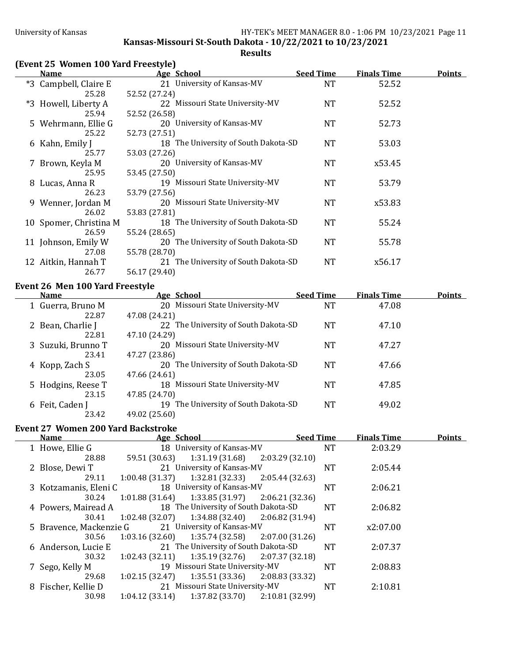**Kansas-Missouri St-South Dakota - 10/22/2021 to 10/23/2021** 

**Results**

# **(Event 25 Women 100 Yard Freestyle)**

| <u>Name</u>            | Age School                           | <b>Seed Time</b> | <b>Finals Time</b> | <u>Points</u> |
|------------------------|--------------------------------------|------------------|--------------------|---------------|
| *3 Campbell, Claire E  | 21 University of Kansas-MV           | <b>NT</b>        | 52.52              |               |
| 25.28                  | 52.52 (27.24)                        |                  |                    |               |
| *3 Howell, Liberty A   | 22 Missouri State University-MV      | <b>NT</b>        | 52.52              |               |
| 25.94                  | 52.52 (26.58)                        |                  |                    |               |
| 5 Wehrmann, Ellie G    | 20 University of Kansas-MV           | <b>NT</b>        | 52.73              |               |
| 25.22                  | 52.73 (27.51)                        |                  |                    |               |
| 6 Kahn, Emily J        | 18 The University of South Dakota-SD | <b>NT</b>        | 53.03              |               |
| 25.77                  | 53.03 (27.26)                        |                  |                    |               |
| 7 Brown, Keyla M       | 20 University of Kansas-MV           | NT               | x53.45             |               |
| 25.95                  | 53.45 (27.50)                        |                  |                    |               |
| 8 Lucas, Anna R        | 19 Missouri State University-MV      | <b>NT</b>        | 53.79              |               |
| 26.23                  | 53.79 (27.56)                        |                  |                    |               |
| 9 Wenner, Jordan M     | 20 Missouri State University-MV      | NT               | x53.83             |               |
| 26.02                  | 53.83 (27.81)                        |                  |                    |               |
| 10 Spomer, Christina M | 18 The University of South Dakota-SD | NT               | 55.24              |               |
| 26.59                  | 55.24 (28.65)                        |                  |                    |               |
| 11 Johnson, Emily W    | 20 The University of South Dakota-SD | <b>NT</b>        | 55.78              |               |
| 27.08                  | 55.78 (28.70)                        |                  |                    |               |
| 12 Aitkin, Hannah T    | 21 The University of South Dakota-SD | <b>NT</b>        | x56.17             |               |
| 26.77                  | 56.17 (29.40)                        |                  |                    |               |

### Event 26 Men 100 Yard Freestyle

| Name               | <u>Age School</u>                    | <b>Seed Time</b> | <b>Finals Time</b> | <b>Points</b> |
|--------------------|--------------------------------------|------------------|--------------------|---------------|
| 1 Guerra, Bruno M  | 20 Missouri State University-MV      | NT               | 47.08              |               |
| 22.87              | 47.08 (24.21)                        |                  |                    |               |
| 2 Bean, Charlie J  | 22 The University of South Dakota-SD | NT               | 47.10              |               |
| 22.81              | 47.10 (24.29)                        |                  |                    |               |
| 3 Suzuki, Brunno T | 20 Missouri State University-MV      | NT               | 47.27              |               |
| 23.41              | 47.27 (23.86)                        |                  |                    |               |
| 4 Kopp, Zach S     | 20 The University of South Dakota-SD | NT               | 47.66              |               |
| 23.05              | 47.66 (24.61)                        |                  |                    |               |
| 5 Hodgins, Reese T | 18 Missouri State University-MV      | NT               | 47.85              |               |
| 23.15              | 47.85 (24.70)                        |                  |                    |               |
| 6 Feit, Caden J    | 19 The University of South Dakota-SD | NT               | 49.02              |               |
| 23.42              | 49.02 (25.60)                        |                  |                    |               |

## Event 27 Women 200 Yard Backstroke

| <b>Name</b>             | Age School      |                                                    |                 | <b>Seed Time</b> | <b>Finals Time</b> | <b>Points</b> |
|-------------------------|-----------------|----------------------------------------------------|-----------------|------------------|--------------------|---------------|
| 1 Howe, Ellie G         |                 | 18 University of Kansas-MV                         |                 | NT               | 2:03.29            |               |
| 28.88                   |                 | 59.51 (30.63) 1:31.19 (31.68) 2:03.29 (32.10)      |                 |                  |                    |               |
| 2 Blose, Dewi T         |                 | 21 University of Kansas-MV                         |                 | <b>NT</b>        | 2:05.44            |               |
| 29.11                   | 1:00.48 (31.37) | $1:32.81(32.33)$ $2:05.44(32.63)$                  |                 |                  |                    |               |
| 3 Kotzamanis, Eleni C   |                 | 18 University of Kansas-MV                         |                 | NT               | 2:06.21            |               |
| 30.24                   |                 | $1:01.88(31.64)$ $1:33.85(31.97)$ $2:06.21(32.36)$ |                 |                  |                    |               |
| 4 Powers, Mairead A     |                 | 18 The University of South Dakota-SD               |                 | NT               | 2:06.82            |               |
| 30.41                   | 1:02.48 (32.07) | $1:34.88(32.40)$ $2:06.82(31.94)$                  |                 |                  |                    |               |
| 5 Bravence, Mackenzie G |                 | 21 University of Kansas-MV                         |                 | NT               | x2:07.00           |               |
| 30.56                   | 1:03.16 (32.60) | $1:35.74(32.58)$ $2:07.00(31.26)$                  |                 |                  |                    |               |
| 6 Anderson, Lucie E     |                 | 21 The University of South Dakota-SD               |                 | <b>NT</b>        | 2:07.37            |               |
| 30.32                   | 1:02.43(32.11)  | $1:35.19(32.76)$ $2:07.37(32.18)$                  |                 |                  |                    |               |
| 7 Sego, Kelly M         |                 | 19 Missouri State University-MV                    |                 | NT               | 2:08.83            |               |
| 29.68                   | 1:02.15 (32.47) | $1:35.51(33.36)$ $2:08.83(33.32)$                  |                 |                  |                    |               |
| 8 Fischer, Kellie D     |                 | 21 Missouri State University-MV                    |                 | NT               | 2:10.81            |               |
| 30.98                   | 1:04.12(33.14)  | 1:37.82 (33.70)                                    | 2:10.81 (32.99) |                  |                    |               |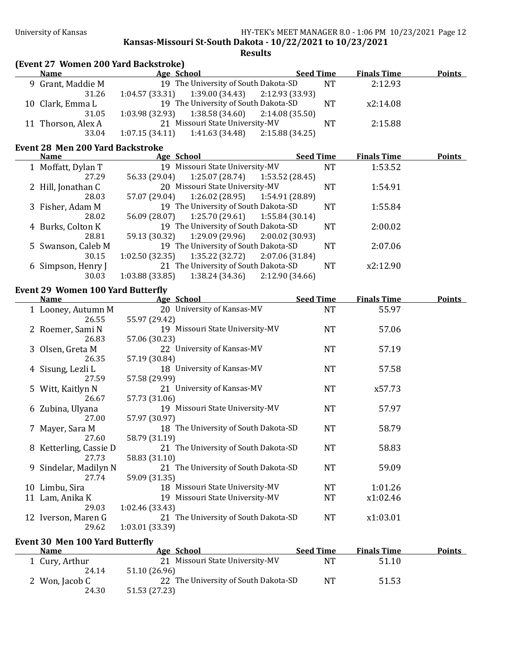**Kansas-Missouri St-South Dakota - 10/22/2021 to 10/23/2021** 

**Results**

|   | (Event 27 Women 200 Yard Backstroke)<br><b>Name</b>     |                                      | Age School https://www.assett.com/   |                 | <b>Seed Time</b> | <b>Finals Time</b> | <b>Points</b> |
|---|---------------------------------------------------------|--------------------------------------|--------------------------------------|-----------------|------------------|--------------------|---------------|
|   | 9 Grant, Maddie M                                       |                                      | 19 The University of South Dakota-SD |                 | <b>NT</b>        | 2:12.93            |               |
|   | 31.26                                                   | 1:04.57(33.31)                       | 1:39.00 (34.43)                      | 2:12.93 (33.93) |                  |                    |               |
|   | 10 Clark, Emma L                                        |                                      | 19 The University of South Dakota-SD |                 | <b>NT</b>        | x2:14.08           |               |
|   | 31.05                                                   | 1:03.98(32.93)                       | 1:38.58 (34.60)                      | 2:14.08(35.50)  |                  |                    |               |
|   | 11 Thorson, Alex A                                      |                                      | 21 Missouri State University-MV      |                 | <b>NT</b>        | 2:15.88            |               |
|   | 33.04                                                   | 1:07.15(34.11)                       | 1:41.63 (34.48)                      | 2:15.88(34.25)  |                  |                    |               |
|   | <b>Event 28 Men 200 Yard Backstroke</b>                 |                                      |                                      |                 |                  |                    |               |
|   | <b>Name</b>                                             | Age School                           |                                      |                 | <b>Seed Time</b> | <b>Finals Time</b> | <b>Points</b> |
|   | 1 Moffatt, Dylan T                                      |                                      | 19 Missouri State University-MV      |                 | <b>NT</b>        | 1:53.52            |               |
|   | 27.29                                                   | 56.33 (29.04)                        | 1:25.07(28.74)                       | 1:53.52 (28.45) |                  |                    |               |
|   | 2 Hill, Jonathan C                                      |                                      | 20 Missouri State University-MV      |                 | <b>NT</b>        | 1:54.91            |               |
|   | 28.03                                                   | 57.07 (29.04)                        | 1:26.02 (28.95)                      | 1:54.91 (28.89) |                  |                    |               |
|   | 3 Fisher, Adam M                                        |                                      | 19 The University of South Dakota-SD |                 | <b>NT</b>        | 1:55.84            |               |
|   | 28.02                                                   | 56.09 (28.07)                        | $1:25.70(29.61)$ $1:55.84(30.14)$    |                 |                  |                    |               |
|   | 4 Burks, Colton K                                       |                                      | 19 The University of South Dakota-SD |                 | <b>NT</b>        | 2:00.02            |               |
|   | 28.81                                                   | 59.13 (30.32)                        | 1:29.09 (29.96)                      | 2:00.02(30.93)  |                  |                    |               |
|   | 5 Swanson, Caleb M                                      |                                      | 19 The University of South Dakota-SD |                 | <b>NT</b>        | 2:07.06            |               |
|   | 30.15                                                   | 1:02.50 (32.35)                      | 1:35.22 (32.72)                      | 2:07.06 (31.84) |                  |                    |               |
|   | 6 Simpson, Henry J                                      |                                      | 21 The University of South Dakota-SD |                 | <b>NT</b>        | x2:12.90           |               |
|   | 30.03                                                   | 1:03.88 (33.85)                      | 1:38.24 (34.36)                      | 2:12.90(34.66)  |                  |                    |               |
|   |                                                         |                                      |                                      |                 |                  |                    |               |
|   | <b>Event 29 Women 100 Yard Butterfly</b><br><b>Name</b> | Age School                           |                                      |                 | <b>Seed Time</b> | <b>Finals Time</b> | <b>Points</b> |
|   |                                                         |                                      | 20 University of Kansas-MV           |                 | <b>NT</b>        | 55.97              |               |
|   | 1 Looney, Autumn M<br>26.55                             |                                      |                                      |                 |                  |                    |               |
|   |                                                         | 55.97 (29.42)                        | 19 Missouri State University-MV      |                 | <b>NT</b>        | 57.06              |               |
|   | 2 Roemer, Sami N<br>26.83                               | 57.06 (30.23)                        |                                      |                 |                  |                    |               |
|   |                                                         |                                      | 22 University of Kansas-MV           |                 |                  |                    |               |
|   | 3 Olsen, Greta M                                        |                                      |                                      |                 | <b>NT</b>        | 57.19              |               |
|   | 26.35                                                   | 57.19 (30.84)                        |                                      |                 |                  |                    |               |
|   | 4 Sisung, Lezli L                                       |                                      | 18 University of Kansas-MV           |                 | <b>NT</b>        | 57.58              |               |
|   | 27.59                                                   | 57.58 (29.99)                        |                                      |                 |                  |                    |               |
|   | 5 Witt, Kaitlyn N                                       |                                      | 21 University of Kansas-MV           |                 | <b>NT</b>        | x57.73             |               |
|   | 26.67                                                   | 57.73 (31.06)                        |                                      |                 |                  |                    |               |
|   | 6 Zubina, Ulyana                                        |                                      | 19 Missouri State University-MV      |                 | <b>NT</b>        | 57.97              |               |
|   | 27.00                                                   | 57.97 (30.97)                        |                                      |                 |                  |                    |               |
|   | 7 Mayer, Sara M                                         | 18 The University of South Dakota-SD |                                      |                 | <b>NT</b>        | 58.79              |               |
|   | 27.60                                                   | 58.79 (31.19)                        |                                      |                 |                  |                    |               |
|   | 8 Ketterling, Cassie D                                  |                                      | 21 The University of South Dakota-SD |                 | <b>NT</b>        | 58.83              |               |
|   | 27.73                                                   | 58.83 (31.10)                        |                                      |                 |                  |                    |               |
| 9 | Sindelar, Madilyn N                                     |                                      | 21 The University of South Dakota-SD |                 | <b>NT</b>        | 59.09              |               |
|   | 27.74                                                   | 59.09 (31.35)                        |                                      |                 |                  |                    |               |
|   | 10 Limbu, Sira                                          |                                      | 18 Missouri State University-MV      |                 | NT               | 1:01.26            |               |
|   | 11 Lam, Anika K                                         |                                      | 19 Missouri State University-MV      |                 | <b>NT</b>        | x1:02.46           |               |
|   | 29.03                                                   | 1:02.46 (33.43)                      |                                      |                 |                  |                    |               |
|   | 12 Iverson, Maren G                                     |                                      | 21 The University of South Dakota-SD |                 | NT               | x1:03.01           |               |
|   | 29.62                                                   | 1:03.01 (33.39)                      |                                      |                 |                  |                    |               |
|   |                                                         |                                      |                                      |                 |                  |                    |               |
|   | <b>Event 30 Men 100 Yard Butterfly</b>                  |                                      |                                      |                 |                  |                    |               |

| <b>Name</b>    | Age School                           | <b>Seed Time</b> | <b>Finals Time</b> | <b>Points</b> |
|----------------|--------------------------------------|------------------|--------------------|---------------|
| 1 Cury, Arthur | 21 Missouri State University-MV      | NT               | 51.10              |               |
| 24.14          | 51.10 (26.96)                        |                  |                    |               |
| 2 Won, Jacob C | 22 The University of South Dakota-SD | NT               | 51.53              |               |
| 24.30          | 51.53 (27.23)                        |                  |                    |               |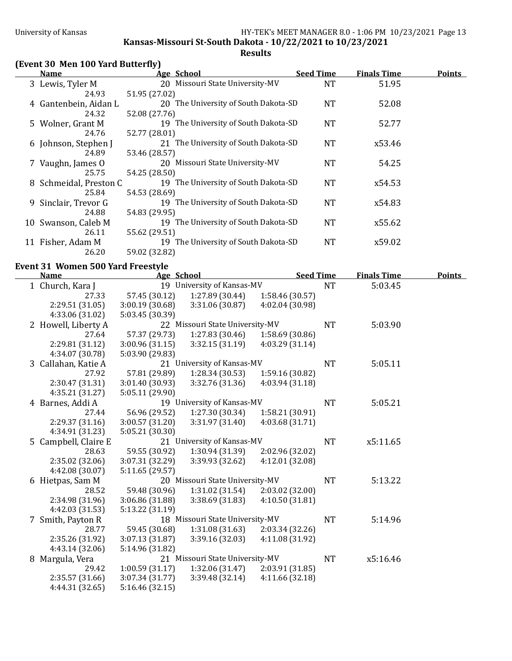**Kansas-Missouri St-South Dakota - 10/22/2021 to 10/23/2021** 

**Results**

## **(Event 30 Men 100 Yard Butterfly)**

| <b>Name</b>            | Age School                           | <b>Seed Time</b> | <b>Finals Time</b> | <b>Points</b> |
|------------------------|--------------------------------------|------------------|--------------------|---------------|
| 3 Lewis, Tyler M       | 20 Missouri State University-MV      | NT               | 51.95              |               |
| 24.93                  | 51.95 (27.02)                        |                  |                    |               |
| 4 Gantenbein, Aidan L  | 20 The University of South Dakota-SD | <b>NT</b>        | 52.08              |               |
| 24.32                  | 52.08 (27.76)                        |                  |                    |               |
| 5 Wolner, Grant M      | 19 The University of South Dakota-SD | NT               | 52.77              |               |
| 24.76                  | 52.77 (28.01)                        |                  |                    |               |
| 6 Johnson, Stephen J   | 21 The University of South Dakota-SD | NT               | x53.46             |               |
| 24.89                  | 53.46 (28.57)                        |                  |                    |               |
| 7 Vaughn, James O      | 20 Missouri State University-MV      | <b>NT</b>        | 54.25              |               |
| 25.75                  | 54.25 (28.50)                        |                  |                    |               |
| 8 Schmeidal, Preston C | 19 The University of South Dakota-SD | <b>NT</b>        | x54.53             |               |
| 25.84                  | 54.53 (28.69)                        |                  |                    |               |
| 9 Sinclair, Trevor G   | 19 The University of South Dakota-SD | <b>NT</b>        | x54.83             |               |
| 24.88                  | 54.83 (29.95)                        |                  |                    |               |
| 10 Swanson, Caleb M    | 19 The University of South Dakota-SD | <b>NT</b>        | x55.62             |               |
| 26.11                  | 55.62 (29.51)                        |                  |                    |               |
| 11 Fisher, Adam M      | 19 The University of South Dakota-SD | <b>NT</b>        | x59.02             |               |
| 26.20                  | 59.02 (32.82)                        |                  |                    |               |

### **Event 31 Women 500 Yard Freestyle**

| <b>Name</b>          | Age School      |                                 | <b>Seed Time</b> |           | <b>Finals Time</b> | <b>Points</b> |
|----------------------|-----------------|---------------------------------|------------------|-----------|--------------------|---------------|
| 1 Church, Kara J     |                 | 19 University of Kansas-MV      |                  | <b>NT</b> | 5:03.45            |               |
| 27.33                | 57.45 (30.12)   | 1:27.89 (30.44)                 | 1:58.46 (30.57)  |           |                    |               |
| 2:29.51 (31.05)      | 3:00.19(30.68)  | 3:31.06 (30.87)                 | 4:02.04 (30.98)  |           |                    |               |
| 4:33.06 (31.02)      | 5:03.45 (30.39) |                                 |                  |           |                    |               |
| 2 Howell, Liberty A  |                 | 22 Missouri State University-MV |                  | <b>NT</b> | 5:03.90            |               |
| 27.64                | 57.37 (29.73)   | 1:27.83(30.46)                  | 1:58.69 (30.86)  |           |                    |               |
| 2:29.81 (31.12)      | 3:00.96 (31.15) | 3:32.15 (31.19)                 | 4:03.29 (31.14)  |           |                    |               |
| 4:34.07 (30.78)      | 5:03.90 (29.83) |                                 |                  |           |                    |               |
| 3 Callahan, Katie A  |                 | 21 University of Kansas-MV      |                  | <b>NT</b> | 5:05.11            |               |
| 27.92                | 57.81 (29.89)   | 1:28.34(30.53)                  | 1:59.16 (30.82)  |           |                    |               |
| 2:30.47 (31.31)      | 3:01.40 (30.93) | 3:32.76 (31.36)                 | 4:03.94 (31.18)  |           |                    |               |
| 4:35.21 (31.27)      | 5:05.11 (29.90) |                                 |                  |           |                    |               |
| 4 Barnes, Addi A     |                 | 19 University of Kansas-MV      |                  | <b>NT</b> | 5:05.21            |               |
| 27.44                | 56.96 (29.52)   | 1:27.30 (30.34)                 | 1:58.21 (30.91)  |           |                    |               |
| 2:29.37(31.16)       | 3:00.57 (31.20) | 3:31.97 (31.40)                 | 4:03.68 (31.71)  |           |                    |               |
| 4:34.91 (31.23)      | 5:05.21 (30.30) |                                 |                  |           |                    |               |
| 5 Campbell, Claire E |                 | 21 University of Kansas-MV      |                  | <b>NT</b> | x5:11.65           |               |
| 28.63                | 59.55 (30.92)   | 1:30.94(31.39)                  | 2:02.96 (32.02)  |           |                    |               |
| 2:35.02 (32.06)      | 3:07.31 (32.29) | 3:39.93 (32.62)                 | 4:12.01 (32.08)  |           |                    |               |
| 4:42.08 (30.07)      | 5:11.65(29.57)  |                                 |                  |           |                    |               |
| 6 Hietpas, Sam M     |                 | 20 Missouri State University-MV |                  | <b>NT</b> | 5:13.22            |               |
| 28.52                | 59.48 (30.96)   | 1:31.02(31.54)                  | 2:03.02 (32.00)  |           |                    |               |
| 2:34.98 (31.96)      | 3:06.86 (31.88) | 3:38.69 (31.83)                 | 4:10.50(31.81)   |           |                    |               |
| 4:42.03 (31.53)      | 5:13.22 (31.19) |                                 |                  |           |                    |               |
| 7 Smith, Payton R    |                 | 18 Missouri State University-MV |                  | <b>NT</b> | 5:14.96            |               |
| 28.77                | 59.45 (30.68)   | 1:31.08(31.63)                  | 2:03.34(32.26)   |           |                    |               |
| 2:35.26 (31.92)      | 3:07.13 (31.87) | 3:39.16 (32.03)                 | 4:11.08 (31.92)  |           |                    |               |
| 4:43.14 (32.06)      | 5:14.96 (31.82) |                                 |                  |           |                    |               |
| 8 Margula, Vera      |                 | 21 Missouri State University-MV |                  | <b>NT</b> | x5:16.46           |               |
| 29.42                | 1:00.59(31.17)  | 1:32.06(31.47)                  | 2:03.91 (31.85)  |           |                    |               |
| 2:35.57 (31.66)      | 3:07.34(31.77)  | 3:39.48(32.14)                  | 4:11.66(32.18)   |           |                    |               |
| 4:44.31 (32.65)      | 5:16.46(32.15)  |                                 |                  |           |                    |               |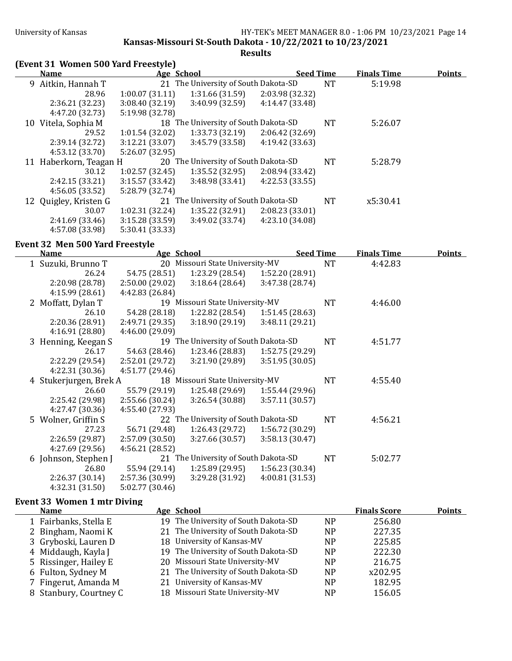**Kansas-Missouri St-South Dakota - 10/22/2021 to 10/23/2021** 

## **Results**

# **(Event 31 Women 500 Yard Freestyle)**

| <b>Name</b>            | Age School      |                                      | <b>Seed Time</b> |           | <b>Finals Time</b> | <b>Points</b> |
|------------------------|-----------------|--------------------------------------|------------------|-----------|--------------------|---------------|
| 9 Aitkin, Hannah T     |                 | 21 The University of South Dakota-SD |                  | <b>NT</b> | 5:19.98            |               |
| 28.96                  | 1:00.07(31.11)  | 1:31.66(31.59)                       | 2:03.98 (32.32)  |           |                    |               |
| 2:36.21 (32.23)        | 3:08.40(32.19)  | 3:40.99(32.59)                       | 4:14.47 (33.48)  |           |                    |               |
| 4:47.20 (32.73)        | 5:19.98 (32.78) |                                      |                  |           |                    |               |
| 10 Vitela, Sophia M    |                 | 18 The University of South Dakota-SD |                  | NT        | 5:26.07            |               |
| 29.52                  | 1:01.54(32.02)  | 1:33.73 (32.19)                      | 2:06.42(32.69)   |           |                    |               |
| 2:39.14(32.72)         | 3:12.21(33.07)  | 3:45.79(33.58)                       | 4:19.42 (33.63)  |           |                    |               |
| 4:53.12 (33.70)        | 5:26.07 (32.95) |                                      |                  |           |                    |               |
| 11 Haberkorn, Teagan H |                 | 20 The University of South Dakota-SD |                  | <b>NT</b> | 5:28.79            |               |
| 30.12                  | 1:02.57(32.45)  | 1:35.52 (32.95)                      | 2:08.94 (33.42)  |           |                    |               |
| 2:42.15(33.21)         | 3:15.57(33.42)  | 3:48.98(33.41)                       | 4:22.53(33.55)   |           |                    |               |
| 4:56.05(33.52)         | 5:28.79 (32.74) |                                      |                  |           |                    |               |
| 12 Quigley, Kristen G  |                 | 21 The University of South Dakota-SD |                  | <b>NT</b> | x5:30.41           |               |
| 30.07                  | 1:02.31(32.24)  | 1:35.22(32.91)                       | 2:08.23(33.01)   |           |                    |               |
| 2:41.69(33.46)         | 3:15.28(33.59)  | 3:49.02(33.74)                       | 4:23.10 (34.08)  |           |                    |               |
| 4:57.08 (33.98)        | 5:30.41 (33.33) |                                      |                  |           |                    |               |

### Event 32 Men 500 Yard Freestyle

| <b>Name</b>            | Age School      |                                      | <b>Seed Time</b> |           | <b>Finals Time</b> | <u>Points</u> |
|------------------------|-----------------|--------------------------------------|------------------|-----------|--------------------|---------------|
| 1 Suzuki, Brunno T     |                 | 20 Missouri State University-MV      |                  | <b>NT</b> | 4:42.83            |               |
| 26.24                  | 54.75 (28.51)   | 1:23.29 (28.54)                      | 1:52.20 (28.91)  |           |                    |               |
| 2:20.98(28.78)         | 2:50.00(29.02)  | 3:18.64(28.64)                       | 3:47.38 (28.74)  |           |                    |               |
| 4:15.99(28.61)         | 4:42.83 (26.84) |                                      |                  |           |                    |               |
| 2 Moffatt, Dylan T     |                 | 19 Missouri State University-MV      |                  | <b>NT</b> | 4:46.00            |               |
| 26.10                  | 54.28 (28.18)   | 1:22.82 (28.54)                      | 1:51.45 (28.63)  |           |                    |               |
| 2:20.36(28.91)         | 2:49.71 (29.35) | 3:18.90(29.19)                       | 3:48.11 (29.21)  |           |                    |               |
| 4:16.91(28.80)         | 4:46.00 (29.09) |                                      |                  |           |                    |               |
| 3 Henning, Keegan S    |                 | 19 The University of South Dakota-SD |                  | <b>NT</b> | 4:51.77            |               |
| 26.17                  | 54.63 (28.46)   | 1:23.46 (28.83)                      | 1:52.75 (29.29)  |           |                    |               |
| 2:22.29 (29.54)        | 2:52.01 (29.72) | 3:21.90(29.89)                       | 3:51.95(30.05)   |           |                    |               |
| 4:22.31(30.36)         | 4:51.77 (29.46) |                                      |                  |           |                    |               |
| 4 Stukerjurgen, Brek A |                 | 18 Missouri State University-MV      |                  | <b>NT</b> | 4:55.40            |               |
| 26.60                  | 55.79 (29.19)   | 1:25.48 (29.69)                      | 1:55.44(29.96)   |           |                    |               |
| 2:25.42 (29.98)        | 2:55.66(30.24)  | 3:26.54(30.88)                       | 3:57.11(30.57)   |           |                    |               |
| 4:27.47 (30.36)        | 4:55.40 (27.93) |                                      |                  |           |                    |               |
| 5 Wolner, Griffin S    |                 | 22 The University of South Dakota-SD |                  | <b>NT</b> | 4:56.21            |               |
| 27.23                  | 56.71 (29.48)   | 1:26.43 (29.72)                      | 1:56.72 (30.29)  |           |                    |               |
| 2:26.59(29.87)         | 2:57.09(30.50)  | 3:27.66(30.57)                       | 3:58.13(30.47)   |           |                    |               |
| 4:27.69(29.56)         | 4:56.21 (28.52) |                                      |                  |           |                    |               |
| 6 Johnson, Stephen J   |                 | 21 The University of South Dakota-SD |                  | <b>NT</b> | 5:02.77            |               |
| 26.80                  | 55.94 (29.14)   | 1:25.89 (29.95)                      | 1:56.23 (30.34)  |           |                    |               |
| 2:26.37(30.14)         | 2:57.36(30.99)  | 3:29.28(31.92)                       | 4:00.81 (31.53)  |           |                    |               |
| 4:32.31 (31.50)        | 5:02.77 (30.46) |                                      |                  |           |                    |               |

## **Event 33 Women 1 mtr Diving**

| <b>Name</b>            | Age School |                                                                                                                                                                                                                                                                                                | <b>Finals Score</b> | <b>Points</b> |
|------------------------|------------|------------------------------------------------------------------------------------------------------------------------------------------------------------------------------------------------------------------------------------------------------------------------------------------------|---------------------|---------------|
| 1 Fairbanks, Stella E  |            | N <sub>P</sub>                                                                                                                                                                                                                                                                                 | 256.80              |               |
| 2 Bingham, Naomi K     |            | <b>NP</b>                                                                                                                                                                                                                                                                                      | 227.35              |               |
| 3 Gryboski, Lauren D   |            | NP.                                                                                                                                                                                                                                                                                            | 225.85              |               |
| 4 Middaugh, Kayla J    |            | <b>NP</b>                                                                                                                                                                                                                                                                                      | 222.30              |               |
| 5 Rissinger, Hailey E  |            | <b>NP</b>                                                                                                                                                                                                                                                                                      | 216.75              |               |
| 6 Fulton, Sydney M     |            | <b>NP</b>                                                                                                                                                                                                                                                                                      | x202.95             |               |
| 7 Fingerut, Amanda M   |            | NP                                                                                                                                                                                                                                                                                             | 182.95              |               |
| 8 Stanbury, Courtney C |            | <b>NP</b>                                                                                                                                                                                                                                                                                      | 156.05              |               |
|                        |            | 19 The University of South Dakota-SD<br>21 The University of South Dakota-SD<br>18 University of Kansas-MV<br>19 The University of South Dakota-SD<br>20 Missouri State University-MV<br>21 The University of South Dakota-SD<br>21 University of Kansas-MV<br>18 Missouri State University-MV |                     |               |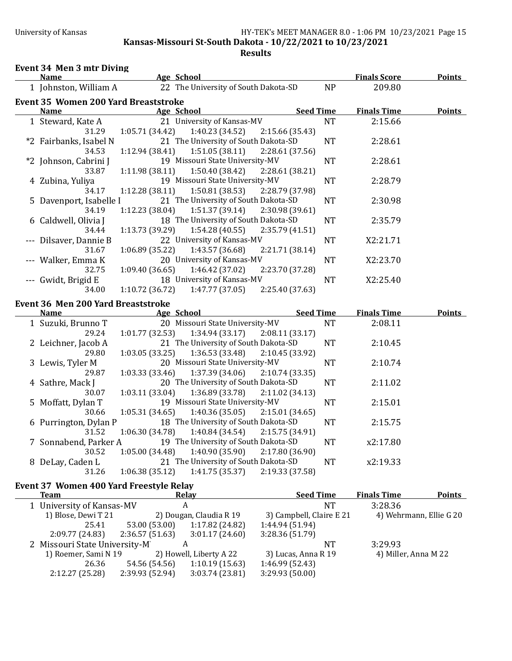### University of Kansas **HY-TEK's MEET MANAGER 8.0 - 1:06 PM 10/23/2021** Page 15 **Kansas-Missouri St-South Dakota - 10/22/2021 to 10/23/2021 Results**

# Event 34 Men 3 mtr Diving

| <b>Name</b>                                 | Age School                                            |                  | <b>Finals Score</b> | <b>Points</b> |
|---------------------------------------------|-------------------------------------------------------|------------------|---------------------|---------------|
| 1 Johnston, William A                       | 22 The University of South Dakota-SD                  | <b>NP</b>        | 209.80              |               |
| <b>Event 35 Women 200 Yard Breaststroke</b> |                                                       |                  |                     |               |
| <b>Name</b>                                 | Age School                                            | <b>Seed Time</b> | <b>Finals Time</b>  | <b>Points</b> |
| 1 Steward, Kate A                           | 21 University of Kansas-MV                            | <b>NT</b>        | 2:15.66             |               |
| 31.29                                       | 1:05.71(34.42)<br>1:40.23 (34.52)<br>2:15.66 (35.43)  |                  |                     |               |
| *2 Fairbanks, Isabel N                      | 21 The University of South Dakota-SD                  | <b>NT</b>        | 2:28.61             |               |
| 34.53                                       | 1:51.05(38.11)<br>1:12.94(38.41)<br>2:28.61 (37.56)   |                  |                     |               |
| *2 Johnson, Cabrini J                       | 19 Missouri State University-MV                       | <b>NT</b>        | 2:28.61             |               |
| 33.87                                       | 1:50.40(38.42)<br>1:11.98(38.11)<br>2:28.61 (38.21)   |                  |                     |               |
| 4 Zubina, Yuliya                            | 19 Missouri State University-MV                       | <b>NT</b>        | 2:28.79             |               |
| 34.17                                       | 1:12.28 (38.11)<br>1:50.81(38.53)<br>2:28.79 (37.98)  |                  |                     |               |
| 5 Davenport, Isabelle I                     | 21 The University of South Dakota-SD                  | <b>NT</b>        | 2:30.98             |               |
| 34.19                                       | 1:51.37(39.14)<br>2:30.98 (39.61)<br>1:12.23 (38.04)  |                  |                     |               |
| 6 Caldwell, Olivia J                        | 18 The University of South Dakota-SD                  | <b>NT</b>        | 2:35.79             |               |
| 34.44                                       | 1:13.73 (39.29)<br>1:54.28 (40.55)<br>2:35.79 (41.51) |                  |                     |               |
| --- Dilsaver, Dannie B                      | 22 University of Kansas-MV                            | <b>NT</b>        | X2:21.71            |               |
| 31.67                                       | 1:06.89 (35.22)<br>1:43.57 (36.68)<br>2:21.71 (38.14) |                  |                     |               |
| --- Walker, Emma K                          | 20 University of Kansas-MV                            | <b>NT</b>        | X2:23.70            |               |
| 32.75                                       | 1:09.40(36.65)<br>1:46.42 (37.02)<br>2:23.70 (37.28)  |                  |                     |               |
| --- Gwidt, Brigid E                         | 18 University of Kansas-MV                            | <b>NT</b>        | X2:25.40            |               |
| 34.00                                       | 1:10.72(36.72)<br>1:47.77(37.05)<br>2:25.40 (37.63)   |                  |                     |               |
| <b>Event 36 Men 200 Yard Breaststroke</b>   |                                                       |                  |                     |               |
| Name                                        | Age School                                            | <b>Seed Time</b> | <b>Finals Time</b>  | <b>Points</b> |
| 1 Suzuki, Brunno T                          | 20 Missouri State University-MV                       | <b>NT</b>        | 2:08.11             |               |
| 29.24                                       | 1:01.77(32.53)<br>1:34.94(33.17)<br>2:08.11(33.17)    |                  |                     |               |
| 2 Leichner, Jacob A                         | 21 The University of South Dakota-SD                  | <b>NT</b>        | 2:10.45             |               |
| 29.80                                       | 1:03.05 (33.25)<br>1:36.53(33.48)<br>2:10.45 (33.92)  |                  |                     |               |
| 3 Lewis, Tyler M                            | 20 Missouri State University-MV                       | <b>NT</b>        | 2:10.74             |               |
| 29.87                                       | 1:03.33(33.46)<br>1:37.39 (34.06)<br>2:10.74 (33.35)  |                  |                     |               |
| 4 Sathre, Mack J                            | 20 The University of South Dakota-SD                  | <b>NT</b>        | 2:11.02             |               |
| 30.07                                       | 1:03.11 (33.04)<br>1:36.89 (33.78)<br>2:11.02 (34.13) |                  |                     |               |
| 5 Moffatt, Dylan T                          | 19 Missouri State University-MV                       | <b>NT</b>        | 2:15.01             |               |
| 30.66                                       | 1:05.31(34.65)<br>1:40.36(35.05)<br>2:15.01(34.65)    |                  |                     |               |
| 6 Purrington, Dylan P                       | 18 The University of South Dakota-SD                  | <b>NT</b>        | 2:15.75             |               |
| 31.52                                       | 1:06.30(34.78)<br>1:40.84 (34.54)<br>2:15.75 (34.91)  |                  |                     |               |
| 7 Sonnabend, Parker A                       | 19 The University of South Dakota-SD                  | <b>NT</b>        | x2:17.80            |               |
| 30.52                                       | 1:05.00(34.48)<br>1:40.90 (35.90)<br>2:17.80 (36.90)  |                  |                     |               |
| 8 DeLay, Caden L                            | 21 The University of South Dakota-SD                  | <b>NT</b>        | x2:19.33            |               |
| 31.26                                       | 1:06.38(35.12)<br>1:41.75 (35.37)<br>2:19.33 (37.58)  |                  |                     |               |
|                                             |                                                       |                  |                     |               |

# Event 37 Women 400 Yard Freestyle Relay

| Team                          |                 | Relay                   | <b>Seed Time</b>         | <b>Finals Time</b>   | <b>Points</b>           |
|-------------------------------|-----------------|-------------------------|--------------------------|----------------------|-------------------------|
| 1 University of Kansas-MV     |                 | A                       | NΤ                       | 3:28.36              |                         |
| 1) Blose, Dewi T 21           |                 | 2) Dougan, Claudia R 19 | 3) Campbell, Claire E 21 |                      | 4) Wehrmann, Ellie G 20 |
| 25.41                         | 53.00 (53.00)   | 1:17.82 (24.82)         | 1:44.94 (51.94)          |                      |                         |
| 2:09.77(24.83)                | 2:36.57 (51.63) | 3:01.17(24.60)          | 3:28.36(51.79)           |                      |                         |
| 2 Missouri State University-M |                 |                         | NT                       | 3:29.93              |                         |
| 1) Roemer, Sami N 19          |                 | 2) Howell, Liberty A 22 | 3) Lucas, Anna R 19      | 4) Miller, Anna M 22 |                         |
| 26.36                         | 54.56 (54.56)   | 1:10.19(15.63)          | 1:46.99 (52.43)          |                      |                         |
| 2:12.27(25.28)                | 2:39.93 (52.94) | 3:03.74(23.81)          | 3:29.93(50.00)           |                      |                         |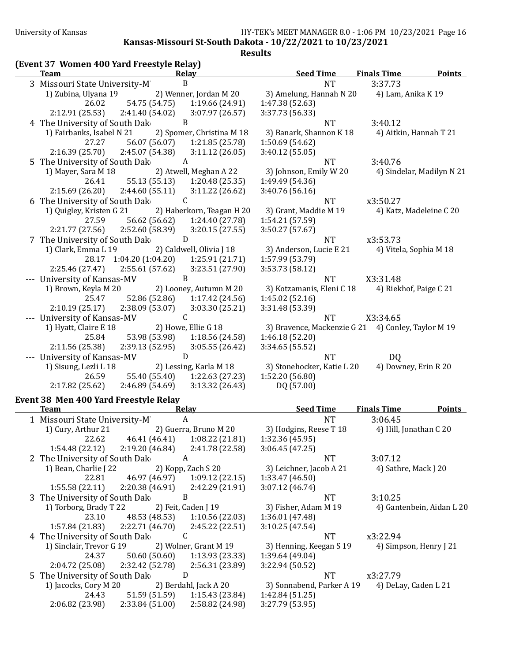**Kansas-Missouri St-South Dakota - 10/22/2021 to 10/23/2021**

**Results**

| Team                                    | <b>Relay</b>                  | <b>Seed Time</b>                                   | <b>Finals Time</b>     | <b>Points</b>             |
|-----------------------------------------|-------------------------------|----------------------------------------------------|------------------------|---------------------------|
| 3 Missouri State University-M           | $\, {\bf B}$                  | <b>NT</b>                                          | 3:37.73                |                           |
| 1) Zubina, Ulyana 19                    | 2) Wenner, Jordan M 20        | 3) Amelung, Hannah N 20                            | 4) Lam, Anika K 19     |                           |
| 54.75 (54.75)<br>26.02                  | 1:19.66 (24.91)               | 1:47.38 (52.63)                                    |                        |                           |
| 2:12.91(25.53)<br>2:41.40 (54.02)       | 3:07.97 (26.57)               | 3:37.73 (56.33)                                    |                        |                           |
| 4 The University of South Dak           | B                             | <b>NT</b>                                          | 3:40.12                |                           |
| 1) Fairbanks, Isabel N 21               | 2) Spomer, Christina M 18     | 3) Banark, Shannon K 18                            | 4) Aitkin, Hannah T 21 |                           |
| 56.07 (56.07)<br>27.27                  | 1:21.85 (25.78)               | 1:50.69 (54.62)                                    |                        |                           |
| 2:16.39 (25.70)<br>2:45.07 (54.38)      | 3:11.12(26.05)                | 3:40.12(55.05)                                     |                        |                           |
| 5 The University of South Dak           | A                             | <b>NT</b>                                          | 3:40.76                |                           |
| 1) Mayer, Sara M 18                     | 2) Atwell, Meghan A 22        | 3) Johnson, Emily W 20                             |                        | 4) Sindelar, Madilyn N 21 |
| 55.13 (55.13)<br>26.41                  | 1:20.48(25.35)                | 1:49.49 (54.36)                                    |                        |                           |
| 2:15.69(26.20)<br>2:44.60(55.11)        | 3:11.22(26.62)                | 3:40.76 (56.16)                                    |                        |                           |
| 6 The University of South Dak           | C                             | <b>NT</b>                                          | x3:50.27               |                           |
| 1) Quigley, Kristen G 21                | 2) Haberkorn, Teagan H 20     | 3) Grant, Maddie M 19                              |                        | 4) Katz, Madeleine C 20   |
| 27.59                                   | 1:24.40 (27.78)               |                                                    |                        |                           |
| 56.62 (56.62)                           |                               | 1:54.21 (57.59)                                    |                        |                           |
| 2:21.77 (27.56)<br>2:52.60 (58.39)      | 3:20.15(27.55)                | 3:50.27 (57.67)                                    |                        |                           |
| 7 The University of South Dak           | D                             | <b>NT</b>                                          | x3:53.73               |                           |
| 1) Clark, Emma L 19                     | 2) Caldwell, Olivia J 18      | 3) Anderson, Lucie E 21                            | 4) Vitela, Sophia M 18 |                           |
| 28.17 1:04.20 (1:04.20) 1:25.91 (21.71) |                               | 1:57.99 (53.79)                                    |                        |                           |
| 2:55.61 (57.62)<br>2:25.46 (27.47)      | 3:23.51 (27.90)               | 3:53.73 (58.12)                                    |                        |                           |
| --- University of Kansas-MV             | B                             | <b>NT</b>                                          | X3:31.48               |                           |
| 1) Brown, Keyla M 20                    | 2) Looney, Autumn M 20        | 3) Kotzamanis, Eleni C 18                          | 4) Riekhof, Paige C 21 |                           |
| 25.47                                   | 52.86 (52.86) 1:17.42 (24.56) | 1:45.02 (52.16)                                    |                        |                           |
| 2:10.19(25.17)<br>2:38.09 (53.07)       | 3:03.30 (25.21)               | 3:31.48 (53.39)                                    |                        |                           |
| --- University of Kansas-MV             | C                             | <b>NT</b>                                          | X3:34.65               |                           |
| 1) Hyatt, Claire E 18                   | 2) Howe, Ellie G 18           | 3) Bravence, Mackenzie G 21 4) Conley, Taylor M 19 |                        |                           |
| 25.84<br>53.98 (53.98)                  | 1:18.56(24.58)                | 1:46.18 (52.20)                                    |                        |                           |
| 2:11.56 (25.38)<br>2:39.13 (52.95)      | 3:05.55(26.42)                | 3:34.65 (55.52)                                    |                        |                           |
| --- University of Kansas-MV             | D                             | <b>NT</b>                                          | DQ                     |                           |
| 1) Sisung, Lezli L 18                   | 2) Lessing, Karla M 18        | 3) Stonehocker, Katie L 20                         | 4) Downey, Erin R 20   |                           |
| 26.59<br>55.40 (55.40)                  | 1:22.63 (27.23)               | 1:52.20 (56.80)                                    |                        |                           |
| 2:17.82(25.62)<br>2:46.89(54.69)        | 3:13.32(26.43)                | DQ (57.00)                                         |                        |                           |
|                                         |                               |                                                    |                        |                           |
| Event 38 Men 400 Yard Freestyle Relay   |                               |                                                    |                        |                           |
| <b>Team</b>                             | <b>Relay</b>                  | <b>Seed Time</b>                                   | <b>Finals Time</b>     | <b>Points</b>             |
| 1 Missouri State University-M           | $\boldsymbol{A}$              | <b>NT</b>                                          | 3:06.45                |                           |
| 1) Cury, Arthur 21                      | 2) Guerra, Bruno M 20         | 3) Hodgins, Reese T 18                             | 4) Hill, Jonathan C 20 |                           |
| 46.41 (46.41)<br>22.62                  | 1:08.22(21.81)                | 1:32.36 (45.95)                                    |                        |                           |
| 1:54.48 (22.12)<br>2:19.20 (46.84)      | 2:41.78 (22.58)               | 3:06.45(47.25)                                     |                        |                           |
| 2 The University of South Dak           | A                             | <b>NT</b>                                          | 3:07.12                |                           |
| 1) Bean, Charlie J 22                   | 2) Kopp, Zach S 20            | 3) Leichner, Jacob A 21                            | 4) Sathre, Mack J 20   |                           |
| 22.81<br>46.97 (46.97)                  | 1:09.12(22.15)                | 1:33.47 (46.50)                                    |                        |                           |
| 1:55.58 (22.11)<br>2:20.38 (46.91)      | 2:42.29 (21.91)               | 3:07.12 (46.74)                                    |                        |                           |
| 3 The University of South Dak           | B                             | <b>NT</b>                                          | 3:10.25                |                           |
| 1) Torborg, Brady T 22                  | 2) Feit, Caden J 19           | 3) Fisher, Adam M 19                               |                        | 4) Gantenbein, Aidan L 20 |
| 48.53 (48.53)<br>23.10                  | 1:10.56 (22.03)               | 1:36.01 (47.48)                                    |                        |                           |
| 1:57.84 (21.83)<br>2:22.71 (46.70)      |                               |                                                    |                        |                           |
|                                         | 2:45.22 (22.51)               | 3:10.25(47.54)                                     |                        |                           |
| 4 The University of South Dak           | C                             | <b>NT</b>                                          | x3:22.94               |                           |
| 1) Sinclair, Trevor G 19                | 2) Wolner, Grant M 19         | 3) Henning, Keegan S 19                            | 4) Simpson, Henry J 21 |                           |
| 24.37<br>50.60 (50.60)                  | 1:13.93 (23.33)               | 1:39.64 (49.04)                                    |                        |                           |
| 2:04.72 (25.08)<br>2:32.42 (52.78)      | 2:56.31 (23.89)               | 3:22.94 (50.52)                                    |                        |                           |
| 5 The University of South Dak           | D                             | <b>NT</b>                                          | x3:27.79               |                           |
| 1) Jacocks, Cory M 20                   | 2) Berdahl, Jack A 20         | 3) Sonnabend, Parker A 19                          | 4) DeLay, Caden L 21   |                           |
| 24.43<br>51.59 (51.59)                  | 1:15.43 (23.84)               | 1:42.84 (51.25)                                    |                        |                           |
| 2:06.82 (23.98)<br>2:33.84 (51.00)      | 2:58.82 (24.98)               | 3:27.79 (53.95)                                    |                        |                           |
|                                         |                               |                                                    |                        |                           |